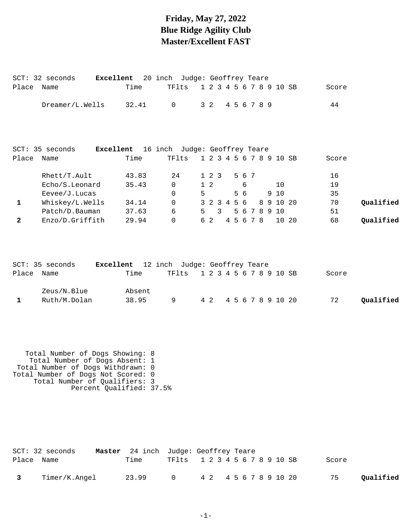### **Friday, May 27, 2022 Blue Ridge Agility Club Master/Excellent FAST**

SCT: 32 seconds **Excellent** 20 inch Judge: Geoffrey Teare

| Place        | Name                                                                                                                                                                                                      | Time                                         | TFlts                         |   |                 |   |  |     |             |  |              | 1 2 3 4 5 6 7 8 9 10 SB | Score |           |
|--------------|-----------------------------------------------------------------------------------------------------------------------------------------------------------------------------------------------------------|----------------------------------------------|-------------------------------|---|-----------------|---|--|-----|-------------|--|--------------|-------------------------|-------|-----------|
|              | Dreamer/L.Wells                                                                                                                                                                                           | 32.41                                        | 0                             |   | 3 <sub>2</sub>  |   |  |     | 4 5 6 7 8 9 |  |              |                         | 44    |           |
|              | SCT: 35 seconds                                                                                                                                                                                           | Excellent 16 inch Judge: Geoffrey Teare      |                               |   |                 |   |  |     |             |  |              |                         |       |           |
| Place        | Name                                                                                                                                                                                                      | Time                                         | TFlts                         |   |                 |   |  |     |             |  |              | 1 2 3 4 5 6 7 8 9 10 SB | Score |           |
|              |                                                                                                                                                                                                           |                                              |                               |   |                 |   |  |     |             |  |              |                         |       |           |
|              | Rhett/T.Ault                                                                                                                                                                                              | 43.83                                        | 24                            |   | $1\quad2\quad3$ |   |  |     | 5 6 7       |  |              |                         | 16    |           |
|              | Echo/S.Leonard                                                                                                                                                                                            | 35.43                                        | 0                             |   | $1\quad2$       |   |  | 6   |             |  | 10           |                         | 19    |           |
|              | Eevee/J. Lucas                                                                                                                                                                                            |                                              | 0                             | 5 |                 |   |  | 5 6 |             |  | 9 10         |                         | 35    |           |
| 1            | Whiskey/L.Wells                                                                                                                                                                                           | 34.14                                        | 0                             |   | 3 2 3 4 5 6     |   |  |     |             |  |              | 8 9 10 20               | 70    | Qualified |
|              | Patch/D.Bauman                                                                                                                                                                                            | 37.63                                        | 6                             | 5 |                 | 3 |  |     |             |  | 5 6 7 8 9 10 |                         | 51    |           |
| $\mathbf{2}$ | Enzo/D.Griffith                                                                                                                                                                                           | 29.94                                        | $\Omega$                      |   | 6 2             |   |  |     | 4 5 6 7 8   |  |              | 10 20                   | 68    | Qualified |
|              |                                                                                                                                                                                                           |                                              |                               |   |                 |   |  |     |             |  |              |                         |       |           |
|              | Excellent<br>SCT: 35 seconds                                                                                                                                                                              |                                              | 12 inch Judge: Geoffrey Teare |   |                 |   |  |     |             |  |              |                         |       |           |
| Place        | Name                                                                                                                                                                                                      | Time                                         | TFlts                         |   |                 |   |  |     |             |  |              | 1 2 3 4 5 6 7 8 9 10 SB | Score |           |
|              | Zeus/N.Blue                                                                                                                                                                                               | Absent                                       |                               |   |                 |   |  |     |             |  |              |                         |       |           |
| $\mathbf{1}$ | Ruth/M.Dolan                                                                                                                                                                                              | 38.95                                        | 9                             |   | 4 2             |   |  |     |             |  |              | 4 5 6 7 8 9 10 20       | 72    | Qualified |
|              |                                                                                                                                                                                                           |                                              |                               |   |                 |   |  |     |             |  |              |                         |       |           |
|              | Total Number of Dogs Showing: 8<br>Total Number of Dogs Absent: 1<br>Total Number of Dogs Withdrawn: 0<br>Total Number of Dogs Not Scored: 0<br>Total Number of Qualifiers: 3<br>Percent Qualified: 37.5% |                                              |                               |   |                 |   |  |     |             |  |              |                         |       |           |
| Place Name   | $SCT: 32$ seconds                                                                                                                                                                                         | Master 24 inch Judge: Geoffrey Teare<br>Time | TFlts                         |   |                 |   |  |     |             |  |              | 1 2 3 4 5 6 7 8 9 10 SB | Score |           |
| $\mathbf{3}$ | Timer/K.Angel                                                                                                                                                                                             | 23.99                                        | 0                             |   | 4 2             |   |  |     |             |  |              | 4 5 6 7 8 9 10 20       | 75    | Qualified |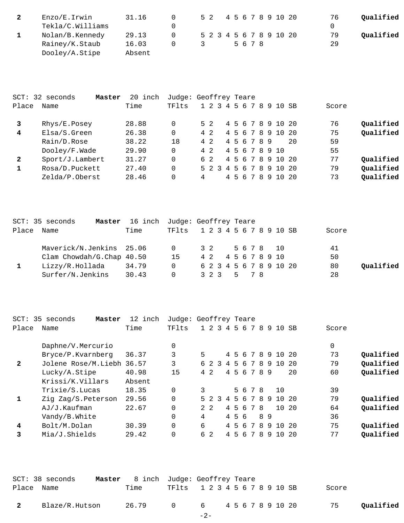| Enzo/E.Irwin     | 31.16  |  |  |  |      |  | 5 2 4 5 6 7 8 9 10 20   | 76 | Qualified |
|------------------|--------|--|--|--|------|--|-------------------------|----|-----------|
| Tekla/C.Williams |        |  |  |  |      |  |                         |    |           |
| Nolan/B.Kennedy  | 29.13  |  |  |  |      |  | 5 2 3 4 5 6 7 8 9 10 20 | 79 | Qualified |
| Rainey/K.Staub   | 16.03  |  |  |  | 5678 |  |                         | 29 |           |
| Dooley/A.Stipe   | Absent |  |  |  |      |  |                         |    |           |

|              | SCT: 32 seconds<br>Master | 20 inch | Judge: Geoffrey Teare |   |     |  |  |                 |  |                         |    |       |           |
|--------------|---------------------------|---------|-----------------------|---|-----|--|--|-----------------|--|-------------------------|----|-------|-----------|
| Place        | Name                      | Time    | TFlts                 |   |     |  |  | 1 2 3 4 5 6 7 8 |  | 9 10 SB                 |    | Score |           |
|              | Rhys/E.Posey              | 28.88   | 0                     |   | 5 2 |  |  |                 |  | 4 5 6 7 8 9 10 20       |    | 76    | Qualified |
| 4            | Elsa/S.Green              | 26.38   | 0                     |   | 4 2 |  |  |                 |  | 4 5 6 7 8 9 10          | 20 | 75    | Qualified |
|              | Rain/D.Rose               | 38.22   | 18                    |   | 4 2 |  |  | 4 5 6 7 8 9     |  |                         | 20 | 59    |           |
|              | Dooley/F.Wade             | 29.90   | 0                     |   | 4 2 |  |  |                 |  | 4 5 6 7 8 9 10          |    | 55    |           |
| $\mathbf{2}$ | Sport/J.Lambert           | 31.27   | $\Omega$              |   | 6 2 |  |  |                 |  | 4 5 6 7 8 9 10 20       |    | 77    | Qualified |
|              | Rosa/D.Puckett            | 27.40   | 0                     |   |     |  |  |                 |  | 5 2 3 4 5 6 7 8 9 10 20 |    | 79    | Qualified |
|              | Zelda/P.Oberst            | 28.46   |                       | 4 |     |  |  |                 |  | 4 5 6 7 8 9 10          | 20 | 73    | Oualified |

|       | SCT: 35 seconds<br>Master | 16 inch Judge: Geoffrey Teare |                               |  |             |  |  |  |                    |                         |       |           |
|-------|---------------------------|-------------------------------|-------------------------------|--|-------------|--|--|--|--------------------|-------------------------|-------|-----------|
| Place | Name                      | Time                          | TF1ts 1 2 3 4 5 6 7 8 9 10 SB |  |             |  |  |  |                    |                         | Score |           |
|       | Maverick/N.Jenkins 25.06  |                               | $\overline{0}$                |  | 3 2         |  |  |  | 5678 10            |                         | 41    |           |
|       | Clam Chowdah/G.Chap 40.50 |                               | 15                            |  |             |  |  |  | 4 2 4 5 6 7 8 9 10 |                         | 50    |           |
|       | Lizzy/R.Hollada           | 34.79                         | $\Omega$                      |  |             |  |  |  |                    | 6 2 3 4 5 6 7 8 9 10 20 | 80    | Oualified |
|       | Surfer/N.Jenkins          | 30.43                         | $\Omega$                      |  | 3 2 3 5 7 8 |  |  |  |                    |                         | 28    |           |

| 35 seconds<br>Master | 12<br>inch |                           |  |             |                                         |                                |                                     |               |                                                       |    |                                                                    |                        |                                                    |           |
|----------------------|------------|---------------------------|--|-------------|-----------------------------------------|--------------------------------|-------------------------------------|---------------|-------------------------------------------------------|----|--------------------------------------------------------------------|------------------------|----------------------------------------------------|-----------|
| Name                 | Time       | TFlts                     |  |             |                                         |                                |                                     |               |                                                       |    |                                                                    |                        | Score                                              |           |
| Daphne/V.Mercurio    |            |                           |  |             |                                         |                                |                                     |               |                                                       |    |                                                                    |                        | 0                                                  |           |
| Bryce/P.Kvarnberg    | 36.37      | 3                         |  |             |                                         |                                |                                     |               |                                                       |    |                                                                    |                        | 73                                                 | Qualified |
|                      |            | 3                         |  |             |                                         |                                |                                     |               |                                                       | -9 | 1 O                                                                | -20                    | 79                                                 | Qualified |
| Lucky/A.Stipe        | 40.98      | 15                        |  |             |                                         |                                |                                     |               |                                                       |    |                                                                    | 20                     | 60                                                 | Qualified |
| Krissi/K.Villars     | Absent     |                           |  |             |                                         |                                |                                     |               |                                                       |    |                                                                    |                        |                                                    |           |
| Trixie/S.Lucas       | 18.35      | $\Omega$                  |  |             |                                         |                                |                                     |               |                                                       |    | 1 Q                                                                |                        | 39                                                 |           |
| Zig Zag/S.Peterson   | 29.56      |                           |  |             |                                         |                                |                                     |               |                                                       | -9 | 1 O                                                                |                        | 79                                                 | Qualified |
| AJ/J.Kaufman         | 22.67      |                           |  |             |                                         |                                |                                     |               |                                                       |    |                                                                    |                        | 64                                                 | Qualified |
| Vandy/B.White        |            |                           |  |             |                                         |                                |                                     |               |                                                       |    |                                                                    |                        | 36                                                 |           |
| Bolt/M.Dolan         | 30.39      |                           |  |             |                                         | 4                              |                                     |               |                                                       |    |                                                                    |                        | 75                                                 | Qualified |
| Mia/J.Shields        | 29.42      |                           |  |             |                                         |                                |                                     |               |                                                       |    |                                                                    | - 20                   | 77                                                 | Qualified |
|                      |            | Jolene Rose/M.Liebh 36.57 |  | 5<br>4<br>6 | 6 2<br>42.<br>5 2<br>$2 \quad 2$<br>6 2 | $\mathcal{R}$<br>$\mathcal{R}$ | $1\ 2\ 3\ 4$<br>4<br>$\overline{4}$ | 5<br>.5<br>45 | Judge: Geoffrey Teare<br>56<br>456<br>4 5 6<br>6<br>6 | 7  | 78<br>678<br>4 5 6 7 8 9<br>5 6 7 8<br>5678<br>78<br>89<br>8<br>78 | 910<br>910<br>-9<br>10 | - SB<br>4 5 6 7 8 9 10 20<br>- 20<br>10 20<br>- 20 |           |

|                         | SCT: 38 seconds | <b>Master</b> 8 inch Judge: Geoffrey Teare |                               |  |       |           |
|-------------------------|-----------------|--------------------------------------------|-------------------------------|--|-------|-----------|
| Place Name              |                 | Time                                       | TF1ts 1 2 3 4 5 6 7 8 9 10 SB |  | Score |           |
| $\overline{\mathbf{2}}$ | Blaze/R.Hutson  | 26.79                                      | 0 6 4 5 6 7 8 9 10 20         |  | 75    | Qualified |
|                         |                 |                                            | $-2-$                         |  |       |           |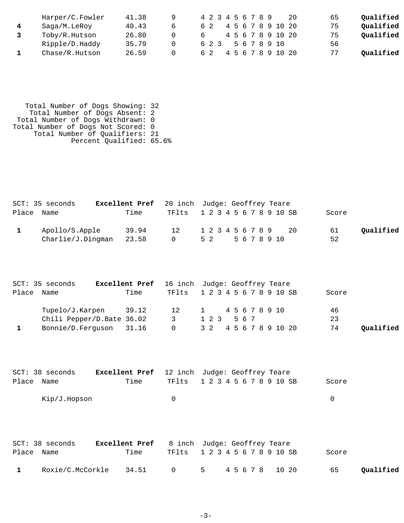| Harper/C.Fowler | 41.38 |   |    |     |  |  | 4 2 3 4 5 6 7 8 9 |  |                   | 20 | 65 | Qualified |
|-----------------|-------|---|----|-----|--|--|-------------------|--|-------------------|----|----|-----------|
| Saga/M.LeRoy    | 40.43 | h |    |     |  |  |                   |  | 4 5 6 7 8 9 10 20 |    | 75 | Qualified |
| Toby/R.Hutson   | 26.80 |   |    |     |  |  |                   |  | 4 5 6 7 8 9 10 20 |    | 75 | Qualified |
| Ripple/D.Haddy  | 35.79 |   |    | 623 |  |  |                   |  | 5 6 7 8 9 10      |    | 56 |           |
| Chase/R.Hutson  | 26.59 |   | 62 |     |  |  |                   |  | 4 5 6 7 8 9 10 20 |    | 77 | Oualified |

 Total Number of Dogs Showing: 32 Total Number of Dogs Absent: 2 Total Number of Dogs Withdrawn: 0 Total Number of Dogs Not Scored: 0 Total Number of Qualifiers: 21 Percent Qualified: 65.6%

| SCT: 35 seconds | <b>Excellent Pref</b> 20 inch Judge: Geoffrey Teare |                               |                  |  |  |  |  |     |       |           |
|-----------------|-----------------------------------------------------|-------------------------------|------------------|--|--|--|--|-----|-------|-----------|
| Place Name      | Time                                                | TF1ts 1 2 3 4 5 6 7 8 9 10 SB |                  |  |  |  |  |     | Score |           |
| Apollo/S.Apple  | 39.94                                               | 12 1 2 3 4 5 6 7 8 9          |                  |  |  |  |  | 2.0 | 61    | Oualified |
|                 | $Charlie/J.Dingman$ 23.58                           | $\overline{0}$                | 5 2 5 6 7 8 9 10 |  |  |  |  |     | 52    |           |

|       | SCT: 35 seconds           | <b>Excellent Pref</b> 16 inch Judge: Geoffrey Teare |                |                         |  |  |  |       |           |
|-------|---------------------------|-----------------------------------------------------|----------------|-------------------------|--|--|--|-------|-----------|
| Place | Name                      | Time                                                | TFlts          | 1 2 3 4 5 6 7 8 9 10 SB |  |  |  | Score |           |
|       | Tupelo/J.Karpen           | 39.12                                               | 12             | 1 45678910              |  |  |  | 46    |           |
|       | Chili Pepper/D.Bate 36.02 |                                                     | 3              | 1 2 3 5 6 7             |  |  |  | 23    |           |
|       | Bonnie/D.Ferguson 31.16   |                                                     | $\overline{0}$ | 3 2 4 5 6 7 8 9 10 20   |  |  |  | 74    | Qualified |

| SCT: 38 seconds |      |        | <b>Excellent Pref</b> 12 inch Judge: Geoffrey Teare |       |
|-----------------|------|--------|-----------------------------------------------------|-------|
| Place Name      | Time |        | TF1ts 1 2 3 4 5 6 7 8 9 10 SB                       | Score |
| Kip/J.Hopson    |      | $\cap$ |                                                     |       |

|              | SCT: 38 seconds | <b>Excellent Pref</b> 8 inch Judge: Geoffrey Teare |                               |  |  |  |       |           |
|--------------|-----------------|----------------------------------------------------|-------------------------------|--|--|--|-------|-----------|
| Place Name   |                 | Time                                               | TF1ts 1 2 3 4 5 6 7 8 9 10 SB |  |  |  | Score |           |
| $\mathbf{1}$ |                 | Roxie/C.McCorkle 34.51 0 5 45678 1020              |                               |  |  |  | 65    | Qualified |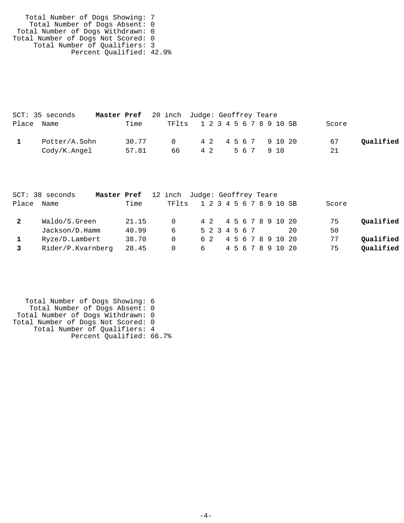| Total Number of Dogs Showing: 7    |  |
|------------------------------------|--|
| Total Number of Dogs Absent: 0     |  |
| Total Number of Dogs Withdrawn: 0  |  |
| Total Number of Dogs Not Scored: 0 |  |
| Total Number of Qualifiers: 3      |  |
| Percent Qualified: 42.9%           |  |

| SCT: 35 seconds         | <b>Master Pref</b> 20 inch Judge: Geoffrey Teare |                               |  |  |  |  |        |                     |       |           |
|-------------------------|--------------------------------------------------|-------------------------------|--|--|--|--|--------|---------------------|-------|-----------|
| Place Name              | Time                                             | TF1ts 1 2 3 4 5 6 7 8 9 10 SB |  |  |  |  |        |                     | Score |           |
| Potter/A.Sohn           | 30.77                                            | $\Omega$                      |  |  |  |  |        | 4 2 4 5 6 7 9 10 20 | 67    | Qualified |
| $\text{Cody/K}$ . Angel | 57.81                                            | 66 42                         |  |  |  |  | 567910 |                     | 21    |           |

|       | SCT: 38 seconds   | <b>Master Pref</b> 12 inch Judge: Geoffrey Teare |          |               |  |  |  |  |                       |                         |       |           |
|-------|-------------------|--------------------------------------------------|----------|---------------|--|--|--|--|-----------------------|-------------------------|-------|-----------|
| Place | Name              | Time                                             | TFIts    |               |  |  |  |  |                       | 1 2 3 4 5 6 7 8 9 10 SB | Score |           |
|       | Waldo/S.Green     | 21.15                                            | $\Omega$ |               |  |  |  |  | 4 2 4 5 6 7 8 9 10 20 |                         | 75    | Qualified |
|       | Jackson/D.Hamm    | 40.99                                            | -6       | 5 2 3 4 5 6 7 |  |  |  |  |                       | 2.0                     | 50    |           |
|       | Ryze/D.Lambert    | 38.70                                            | $\Omega$ |               |  |  |  |  | 6 2 4 5 6 7 8 9 10 20 |                         | 77    | Qualified |
|       | Rider/P.Kvarnberg | 28.45                                            | - 0      | 6             |  |  |  |  | 4 5 6 7 8 9 10 20     |                         | 75    | Oualified |

```
 Total Number of Dogs Showing: 6
 Total Number of Dogs Absent: 0
 Total Number of Dogs Withdrawn: 0
Total Number of Dogs Not Scored: 0
 Total Number of Qualifiers: 4
              Percent Qualified: 66.7%
```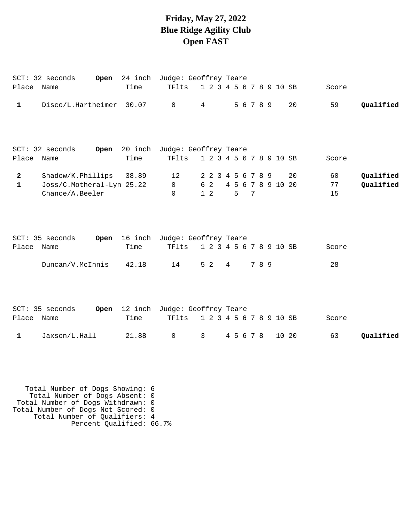## **Friday, May 27, 2022 Blue Ridge Agility Club Open FAST**

|                                | SCT: 32 seconds                                                   |       | Open 24 inch Judge: Geoffrey Teare          |                                       |                        |                 |       |       |                |                        |
|--------------------------------|-------------------------------------------------------------------|-------|---------------------------------------------|---------------------------------------|------------------------|-----------------|-------|-------|----------------|------------------------|
| Place Name                     |                                                                   | Time  | TFlts                                       | 1 2 3 4 5 6 7 8 9 10 SB               |                        |                 |       |       | Score          |                        |
| $\mathbf{1}$                   | Disco/L.Hartheimer 30.07                                          |       | $\overline{0}$                              | 4                                     |                        | 5 6 7 8 9       |       | 20    | 59             | Qualified              |
| Place Name                     | SCT: 32 seconds                                                   | Time  | Open 20 inch Judge: Geoffrey Teare<br>TFlts | 1 2 3 4 5 6 7 8 9 10 SB               |                        |                 |       |       | Score          |                        |
| $\overline{2}$<br>$\mathbf{1}$ | Shadow/K.Phillips<br>Joss/C.Motheral-Lyn 25.22<br>Chance/A.Beeler | 38.89 | 12<br>$\mathsf{O}$<br>$\Omega$              | 2 2 3 4 5 6 7 8 9<br>6 2<br>$1\quad2$ | 4 5 6 7 8 9 10 20<br>5 | $7\phantom{.0}$ |       | 20    | 60<br>77<br>15 | Qualified<br>Qualified |
| Place Name                     | SCT: 35 seconds                                                   | Time  | Open 16 inch Judge: Geoffrey Teare<br>TFlts | 1 2 3 4 5 6 7 8 9 10 SB               |                        |                 |       |       | Score          |                        |
|                                | Duncan/V.McInnis                                                  | 42.18 | 14                                          | 5 <sub>2</sub>                        | 4                      |                 | 7 8 9 |       | 28             |                        |
| Place Name                     | SCT: 35 seconds                                                   | Time  | Open 12 inch Judge: Geoffrey Teare<br>TFlts | 1 2 3 4 5 6 7 8 9 10 SB               |                        |                 |       |       | Score          |                        |
| $\mathbf{1}$                   | Jaxson/L.Hall                                                     | 21.88 | $\mathsf 0$                                 | $3 \quad \blacksquare$                | 4 5 6 7 8              |                 |       | 10 20 | 63             | Qualified              |
|                                |                                                                   |       |                                             |                                       |                        |                 |       |       |                |                        |

 Total Number of Dogs Showing: 6 Total Number of Dogs Absent: 0 Total Number of Dogs Withdrawn: 0 Total Number of Dogs Not Scored: 0 Total Number of Qualifiers: 4 Percent Qualified: 66.7%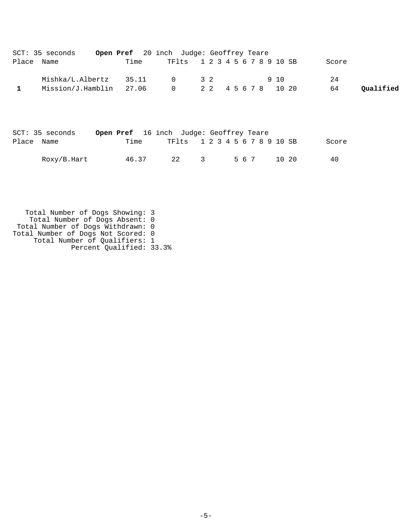| SCT: 35 seconds         |      | Open Pref 20 inch Judge: Geoffrey Teare |  |       |       |           |
|-------------------------|------|-----------------------------------------|--|-------|-------|-----------|
| Place Name              | Time | TF1ts 1 2 3 4 5 6 7 8 9 10 SB           |  |       | Score |           |
| Mishka/L.Albertz 35.11  |      | $0 \qquad 32$                           |  | 9 1 0 | 24    |           |
| Mission/J.Hamblin 27.06 |      | 0 2 2 2 4 5 6 7 8 10 20                 |  |       | 64    | Oualified |

| SCT: 35 seconds |       |                                   | <b>Open Pref</b> 16 inch Judge: Geoffrey Teare |       |       |
|-----------------|-------|-----------------------------------|------------------------------------------------|-------|-------|
| Place Name      | Time  |                                   | TF1ts 1 2 3 4 5 6 7 8 9 10 SB                  |       | Score |
| Roxy/B.Hart     | 46.37 | 2.2 <sub>1</sub><br>$\mathcal{R}$ | 567                                            | 10 20 | 40    |

 Total Number of Dogs Showing: 3 Total Number of Dogs Absent: 0 Total Number of Dogs Withdrawn: 0 Total Number of Dogs Not Scored: 0 Total Number of Qualifiers: 1 Percent Qualified: 33.3%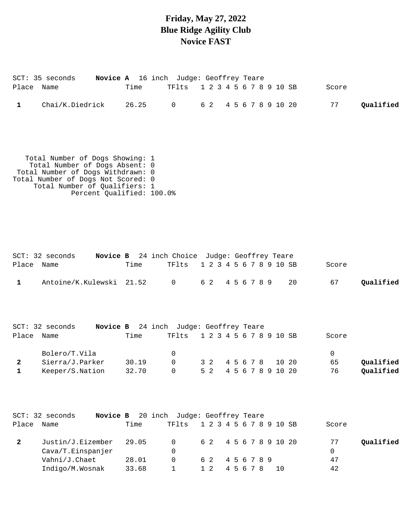### **Friday, May 27, 2022 Blue Ridge Agility Club Novice FAST**

|            | SCT: 35 seconds |      | <b>Novice A</b> 16 inch Judge: Geoffrey Teare |  |  |       |           |
|------------|-----------------|------|-----------------------------------------------|--|--|-------|-----------|
| Place Name |                 | Time | TF1ts 1 2 3 4 5 6 7 8 9 10 SB                 |  |  | Score |           |
|            | Chai/K.Diedrick |      | 26.25 0 62 4567891020                         |  |  | 77    | Qualified |

 Total Number of Dogs Showing: 1 Total Number of Dogs Absent: 0 Total Number of Dogs Withdrawn: 0 Total Number of Dogs Not Scored: 0 Total Number of Qualifiers: 1 Percent Qualified: 100.0%

|            | $SCT: 32$ seconds                             |      | <b>Novice B</b> 24 inch Choice Judge: Geoffrey Teare |  |  |  |  |  |       |           |
|------------|-----------------------------------------------|------|------------------------------------------------------|--|--|--|--|--|-------|-----------|
| Place Name |                                               | Time | TF1ts 1 2 3 4 5 6 7 8 9 10 SB                        |  |  |  |  |  | Score |           |
|            | Antoine/K.Kulewski 21.52 0 6 2 4 5 6 7 8 9 20 |      |                                                      |  |  |  |  |  | 67    | Qualified |

|            | $SCT: 32$ seconds |       | <b>Novice B</b> 24 inch Judge: Geoffrey Teare |  |                       |       |           |
|------------|-------------------|-------|-----------------------------------------------|--|-----------------------|-------|-----------|
| Place Name |                   | Time  | TF1ts 1 2 3 4 5 6 7 8 9 10 SB                 |  |                       | Score |           |
|            | Bolero/T.Vila     |       | $\Omega$                                      |  |                       |       |           |
|            | Sierra/J.Parker   | 30.19 | $\Omega$                                      |  | 3 2 4 5 6 7 8 10 20   | 65    | Qualified |
|            | Keeper/S.Nation   | 32.70 | $\Omega$                                      |  | 5 2 4 5 6 7 8 9 10 20 | 76    | Qualified |

|       | $SCT: 32$ seconds       | Novice B | 20 inch Judge: Geoffrey Teare |           |       |                         |                 |
|-------|-------------------------|----------|-------------------------------|-----------|-------|-------------------------|-----------------|
| Place | Name                    | Time     | TF1ts                         |           |       | 1 2 3 4 5 6 7 8 9 10 SB | Score           |
|       | Justin/J.Eizember 29.05 |          | $\overline{0}$                |           |       | 6 2 4 5 6 7 8 9 10 20   | Qualified<br>77 |
|       | Cava/T.Einspanjer       |          |                               |           |       |                         | 0               |
|       | Vahni/J.Chaet           | 28.01    | $\Omega$                      | 62 456789 |       |                         | 47              |
|       | Indigo/M.Wosnak         | 33.68    |                               | 1 2       | 45678 | 10.                     | 42              |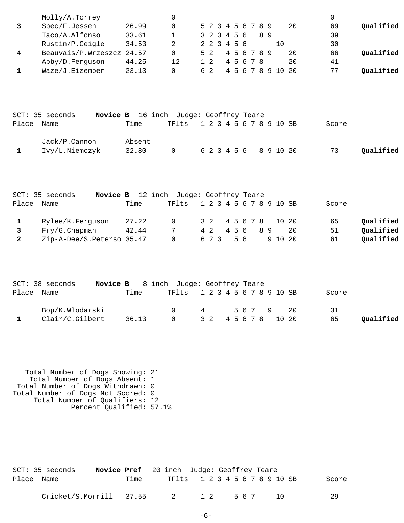|              | Molly/A.Torrey              |        | $\Omega$                      |                         |  |       |             |     |   |                   |    | $\mathbf 0$ |           |
|--------------|-----------------------------|--------|-------------------------------|-------------------------|--|-------|-------------|-----|---|-------------------|----|-------------|-----------|
| 3            | Spec/F.Jessen               | 26.99  | 0                             | 5 2 3 4 5 6 7 8 9       |  |       |             |     |   |                   | 20 | 69          | Qualified |
|              | Taco/A.Alfonso              | 33.61  | 1                             | 3 2 3 4 5 6             |  |       |             | 8 9 |   |                   |    | 39          |           |
|              | Rustin/P.Geigle             | 34.53  | 2                             | 2 2 3 4 5 6             |  |       |             |     |   | 10                |    | 30          |           |
| 4            | Beauvais/P.Wrzeszcz 24.57   |        | $\Omega$                      | 5 <sub>2</sub>          |  |       | 4 5 6 7 8 9 |     |   |                   | 20 | 66          | Qualified |
|              | Abby/D.Ferguson             | 44.25  | 12                            | $1\quad2$               |  |       | 4 5 6 7 8   |     |   |                   | 20 | 41          |           |
| 1            | Waze/J.Eizember             | 23.13  | $\Omega$                      | 6 2                     |  |       |             |     |   | 4 5 6 7 8 9 10 20 |    | 77          | Qualified |
|              |                             |        |                               |                         |  |       |             |     |   |                   |    |             |           |
|              | SCT: 35 seconds<br>Novice B |        | 16 inch Judge: Geoffrey Teare |                         |  |       |             |     |   |                   |    |             |           |
| Place        | Name                        | Time   | TFlts                         | 1 2 3 4 5 6 7 8 9 10 SB |  |       |             |     |   |                   |    | Score       |           |
|              | Jack/P.Cannon               | Absent |                               |                         |  |       |             |     |   |                   |    |             |           |
| 1            | Ivy/L.Niemczyk              | 32.80  | 0                             | 6 2 3 4 5 6             |  |       |             |     |   | 8 9 10 20         |    | 73          | Qualified |
|              |                             |        |                               |                         |  |       |             |     |   |                   |    |             |           |
|              | SCT: 35 seconds<br>Novice B |        | 12 inch Judge: Geoffrey Teare |                         |  |       |             |     |   |                   |    |             |           |
| Place        | Name                        | Time   | TFlts                         | 1 2 3 4 5 6 7 8 9 10 SB |  |       |             |     |   |                   |    | Score       |           |
| $\mathbf{1}$ | Rylee/K.Ferguson            | 27.22  | 0                             | 3 2                     |  |       | 4 5 6 7 8   |     |   | 10 20             |    | 65          | Qualified |
| 3            | Fry/G.Chapman               | 42.44  | 7                             | 4 2                     |  | 4 5 6 |             | 8 9 |   |                   | 20 | 51          | Qualified |
| $\mathbf{2}$ | Zip-A-Dee/S.Peterso 35.47   |        | $\Omega$                      | 6 2 3                   |  | 5 6   |             |     |   | 9 10 20           |    | 61          | Qualified |
|              |                             |        |                               |                         |  |       |             |     |   |                   |    |             |           |
|              | SCT: 38 seconds<br>Novice B |        | 8 inch Judge: Geoffrey Teare  |                         |  |       |             |     |   |                   |    |             |           |
| Place        | Name                        | Time   | TFlts                         | 1 2 3 4 5 6 7 8 9 10 SB |  |       |             |     |   |                   |    | Score       |           |
|              | Bop/K.Wlodarski             |        | 0                             | 4                       |  |       | 5 6 7       |     | 9 |                   | 20 | 31          |           |
| 1            | Clair/C.Gilbert             | 36.13  | $\Omega$                      | 3 <sub>2</sub>          |  |       | 4 5 6 7 8   |     |   | 10 20             |    | 65          | Qualified |
|              |                             |        |                               |                         |  |       |             |     |   |                   |    |             |           |

 Total Number of Dogs Showing: 21 Total Number of Dogs Absent: 1 Total Number of Dogs Withdrawn: 0 Total Number of Dogs Not Scored: 0 Total Number of Qualifiers: 12 Percent Qualified: 57.1%

|            | SCT: 35 seconds         | <b>Novice Pref</b> 20 inch Judge: Geoffrey Teare |                               |            |  |  |     |  |     |  |       |
|------------|-------------------------|--------------------------------------------------|-------------------------------|------------|--|--|-----|--|-----|--|-------|
| Place Name |                         | Time                                             | TF1ts 1 2 3 4 5 6 7 8 9 10 SB |            |  |  |     |  |     |  | Score |
|            | Cricket/S.Morrill 37.55 |                                                  | $\overline{2}$                | $1\quad 2$ |  |  | 567 |  | 1 N |  | 29    |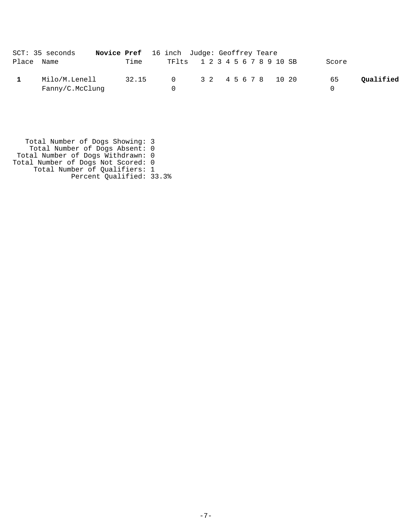| SCT: 35 seconds |                                  | Novice Pref 16 inch Judge: Geoffrey Teare |  |                               |                 |
|-----------------|----------------------------------|-------------------------------------------|--|-------------------------------|-----------------|
| Place Name      |                                  | Time                                      |  | TF1ts 1 2 3 4 5 6 7 8 9 10 SB | Score           |
|                 | Milo/M.Lenell<br>Fanny/C.McClung | 32.15                                     |  | 0 32 45678 1020               | Qualified<br>65 |

 Total Number of Dogs Showing: 3 Total Number of Dogs Absent: 0 Total Number of Dogs Withdrawn: 0 Total Number of Dogs Not Scored: 0 Total Number of Qualifiers: 1 Percent Qualified: 33.3%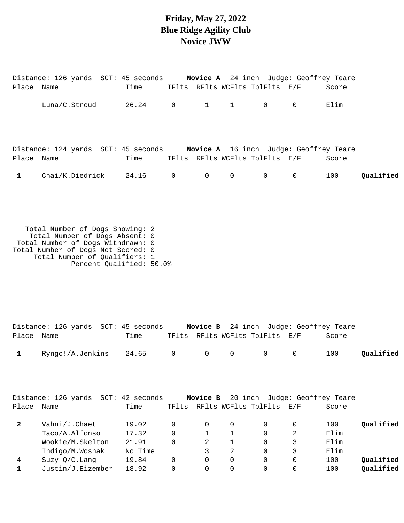### **Friday, May 27, 2022 Blue Ridge Agility Club Novice JWW**

|            | Distance: 126 yards SCT: 45 seconds Novice A 24 inch Judge: Geoffrey Teare |               |                |                                 |                                |                                               |       |           |
|------------|----------------------------------------------------------------------------|---------------|----------------|---------------------------------|--------------------------------|-----------------------------------------------|-------|-----------|
| Place Name |                                                                            | Time          |                |                                 | TFlts RFlts WCFlts TblFlts E/F |                                               | Score |           |
|            | Luna/C.Stroud                                                              | 26.24 0 1 1 0 |                |                                 |                                | $\overline{0}$                                | Elim  |           |
| Place Name | Distance: 124 yards SCT: 45 seconds                                        | Time          |                |                                 | TFlts RFlts WCFlts TblFlts E/F | <b>Novice A</b> 16 inch Judge: Geoffrey Teare | Score |           |
| 1          | Chai/K.Diedrick 24.16                                                      |               | $\overline{0}$ | $\begin{matrix}0&0\end{matrix}$ | $\overline{0}$                 | $\overline{0}$                                | 100   | Oualified |

 Total Number of Dogs Showing: 2 Total Number of Dogs Absent: 0 Total Number of Dogs Withdrawn: 0 Total Number of Dogs Not Scored: 0 Total Number of Qualifiers: 1 Percent Qualified: 50.0%

|              | Distance: 126 yards  SCT: 45 seconds |  |                                | <b>Novice B</b> 24 inch Judge: Geoffrey Teare |           |
|--------------|--------------------------------------|--|--------------------------------|-----------------------------------------------|-----------|
| Place Name   | Time                                 |  | TFlts RFlts WCFlts TblFlts E/F | Score                                         |           |
| $\mathbf{1}$ | Ryngo!/A.Jenkins 24.65 0 0 0 0 0     |  |                                | 100                                           | Qualified |

|       | Distance: 126 yards<br>SCT: | 42 seconds |          | Novice B |   |                          | 20 inch Judge: Geoffrey Teare |       |           |
|-------|-----------------------------|------------|----------|----------|---|--------------------------|-------------------------------|-------|-----------|
| Place | Name                        | Time       | TFlts    |          |   | RFlts WCFlts TblFlts E/F |                               | Score |           |
| 2     | Vahni/J.Chaet               | 19.02      |          |          | 0 |                          | $\Omega$                      | 100   | Qualified |
|       | Taco/A.Alfonso              | 17.32      | $\Omega$ |          |   | $\Omega$                 | 2                             | Elim  |           |
|       | Wookie/M.Skelton            | 21.91      | 0        | 2        |   | $\Omega$                 | 3                             | Elim  |           |
|       | Indigo/M.Wosnak             | No Time    |          |          | 2 | $\Omega$                 | 3                             | Elim  |           |
| 4     | $Suzy$ O/C. Lang            | 19.84      | 0        | 0        | 0 | $\Omega$                 | $\Omega$                      | 100   | Oualified |
|       | Justin/J.Eizember           | 18.92      |          |          |   |                          | 0                             | 100   | Qualified |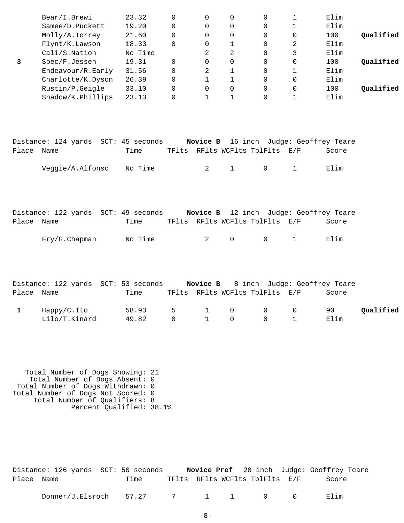|   | Bear/I.Brewi      | 23.32   |          | $\Omega$ | 0            | 0        |              | Elim |           |
|---|-------------------|---------|----------|----------|--------------|----------|--------------|------|-----------|
|   | Samee/D.Puckett   | 19.20   | 0        | $\Omega$ | 0            | 0        | 1            | Elim |           |
|   | Molly/A.Torrey    | 21.60   | $\Omega$ | 0        | 0            | 0        | 0            | 100  | Qualified |
|   | Flynt/K.Lawson    | 18.33   | $\Omega$ | 0        | $\mathbf 1$  | 0        | 2            | Elim |           |
|   | Cali/S.Nation     | No Time |          | 2        | 2            | $\Omega$ | 3            | Elim |           |
| 3 | Spec/F.Jessen     | 19.31   | $\Omega$ | $\Omega$ | $\Omega$     | $\Omega$ | $\mathbf 0$  | 100  | Qualified |
|   | Endeavour/R.Early | 31.56   | 0        | 2        |              | 0        | 1            | Elim |           |
|   | Charlotte/K.Dyson | 26.39   | $\Omega$ |          | $\mathbf{1}$ | 0        | $\mathbf 0$  | Elim |           |
|   | Rustin/P.Geigle   | 33.10   | $\Omega$ | $\Omega$ | 0            | $\Omega$ | $\mathbf{0}$ | 100  | Oualified |
|   | Shadow/K.Phillips | 23.13   | $\Omega$ |          | $\mathbf{1}$ | 0        | 1            | Elim |           |
|   |                   |         |          |          |              |          |              |      |           |
|   |                   |         |          |          |              |          |              |      |           |
|   |                   |         |          |          |              |          |              |      |           |
|   |                   |         |          |          |              |          |              |      |           |

|            | Distance: 124 yards SCT: 45 seconds |         |  |                                | <b>Novice B</b> 16 inch Judge: Geoffrey Teare |
|------------|-------------------------------------|---------|--|--------------------------------|-----------------------------------------------|
| Place Name |                                     | Time    |  | TFlts RFlts WCFlts TblFlts E/F | Score                                         |
|            | Veggie/A.Alfonso                    | No Time |  | 2 1 0 1                        | Elim                                          |

|            | Distance: 122 yards SCT: 49 seconds |         |  |                          |                                 | <b>Novice B</b> 12 inch Judge: Geoffrey Teare |
|------------|-------------------------------------|---------|--|--------------------------|---------------------------------|-----------------------------------------------|
| Place Name |                                     | Time    |  |                          | TFlts RFlts WCFlts TblFlts E/F  | Score                                         |
|            | Fry/G.Chapman                       | No Time |  | $2 \qquad \qquad \Omega$ | $\begin{matrix}0&1\end{matrix}$ | Flim                                          |

|            |               | Distance: 122 yards SCT: 53 seconds |  |                                | <b>Novice B</b> 8 inch Judge: Geoffrey Teare |           |
|------------|---------------|-------------------------------------|--|--------------------------------|----------------------------------------------|-----------|
| Place Name |               | Time                                |  | TFlts RFlts WCFlts TblFlts E/F | Score                                        |           |
|            | Happy/C.Ito   | 58.93 5 1 0 0 0                     |  |                                | 90                                           | Qualified |
|            | Lilo/T.Kinard | 49.82 0 1 0 0 1                     |  |                                | Elim                                         |           |

 Total Number of Dogs Showing: 21 Total Number of Dogs Absent: 0 Total Number of Dogs Withdrawn: 0 Total Number of Dogs Not Scored: 0 Total Number of Qualifiers: 8 Percent Qualified: 38.1%

|            | Distance: 126 yards SCT: 50 seconds |      |  |                                | Novice Pref 20 inch Judge: Geoffrey Teare |  |
|------------|-------------------------------------|------|--|--------------------------------|-------------------------------------------|--|
| Place Name |                                     | Time |  | TFlts RFlts WCFlts TblFlts E/F | Score                                     |  |
|            | $Donner/J.Elsroth$ 57.27 7 1 1 0 0  |      |  |                                | Elim                                      |  |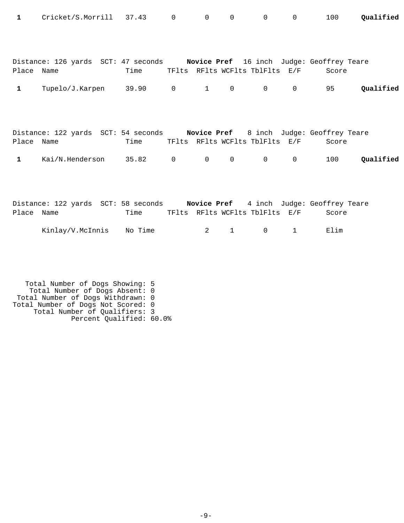| 1            | Cricket/S.Morrill 37.43 0                                                     |      |                | $\overline{0}$ | $\mathsf{O}$   |                                | $0\qquad 0$    | 100   | Oualified |
|--------------|-------------------------------------------------------------------------------|------|----------------|----------------|----------------|--------------------------------|----------------|-------|-----------|
|              | Distance: 126 yards SCT: 47 seconds Novice Pref 16 inch Judge: Geoffrey Teare |      |                |                |                |                                |                |       |           |
| Place Name   |                                                                               | Time |                |                |                | TFlts RFlts WCFlts TblFlts E/F |                | Score |           |
| $\mathbf{1}$ | Tupelo/J.Karpen 39.90 0                                                       |      |                | $\sim$ 1       | $\overline{0}$ | $0 \qquad \qquad$              | $\overline{0}$ | 95    | Qualified |
| Place Name   | Distance: 122 yards SCT: 54 seconds Novice Pref 8 inch Judge: Geoffrey Teare  | Time |                |                |                | TFlts RFlts WCFlts TblFlts E/F |                | Score |           |
| $\mathbf{1}$ | Kai/N.Henderson 35.82                                                         |      | $\overline{0}$ | $\overline{0}$ | $\mathsf{O}$   | $\overline{0}$                 | $\mathbf 0$    | 100   | Qualified |
|              |                                                                               |      |                |                |                |                                |                |       |           |
| Place Name   | Distance: 122 yards SCT: 58 seconds Novice Pref 4 inch Judge: Geoffrey Teare  | Time |                |                |                | TFlts RFlts WCFlts TblFlts E/F |                | Score |           |

| Kinlay/V.McInnis | No Time |  |  | .ım |
|------------------|---------|--|--|-----|
|------------------|---------|--|--|-----|

 Total Number of Dogs Showing: 5 Total Number of Dogs Absent: 0 Total Number of Dogs Withdrawn: 0 Total Number of Dogs Not Scored: 0 Total Number of Qualifiers: 3 Percent Qualified: 60.0%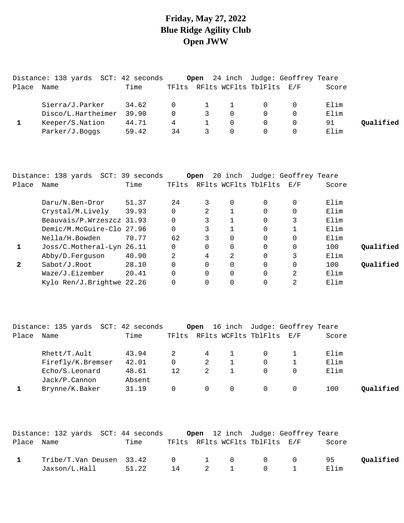# **Friday, May 27, 2022 Blue Ridge Agility Club Open JWW**

|       | Distance: 138 yards SCT: 42 seconds |       |          |               |          | <b>Open</b> 24 inch Judge: Geoffrey Teare |       |           |
|-------|-------------------------------------|-------|----------|---------------|----------|-------------------------------------------|-------|-----------|
| Place | Name                                | Time  | TFlts    |               |          | RFlts WCFlts TblFlts E/F                  | Score |           |
|       | Sierra/J.Parker                     | 34.62 | $\Omega$ | $\mathbf{1}$  |          | $\Omega$                                  | Elim  |           |
|       | Disco/L.Hartheimer                  | 39.90 | $\Omega$ | $\mathcal{E}$ | $\Omega$ | $\Omega$                                  | Elim  |           |
|       | Keeper/S.Nation                     | 44.71 |          |               |          | $\Omega$                                  | 91    | Qualified |
|       | Parker/J.Boqqs                      | 59.42 | 34       |               |          | $\Omega$                                  | Elim  |           |

|       | Distance: 138 yards SCT:  | 39 seconds |          | Open | 20 inch  |                      | Judge: Geoffrey Teare |       |           |
|-------|---------------------------|------------|----------|------|----------|----------------------|-----------------------|-------|-----------|
| Place | Name                      | Time       | TFlts    |      |          | RFlts WCFlts TblFlts | E/F                   | Score |           |
|       | Daru/N.Ben-Dror           | 51.37      | 24       | 3    | 0        | 0                    | $\Omega$              | Elim  |           |
|       | Crystal/M.Lively          | 39.93      |          |      |          | 0                    | $\Omega$              | Elim  |           |
|       | Beauvais/P.Wrzeszcz 31.93 |            |          | 3    |          | 0                    | 3                     | Elim  |           |
|       | Demic/M.McGuire-Clo 27.96 |            |          | 3    |          | 0                    |                       | Elim  |           |
|       | Nella/H.Bowden            | 70.77      | 62       |      | 0        | $\Omega$             | $\Omega$              | Elim  |           |
| 1     | Joss/C.Motheral-Lyn 26.11 |            |          |      | 0        | $\Omega$             | 0                     | 100   | Oualified |
|       | Abby/D.Ferguson           | 40.90      | 2        | 4    | 2        | $\Omega$             | 3                     | Elim  |           |
| 2     | Sabot/J.Root              | 28.10      | $\Omega$ |      | $\Omega$ | $\Omega$             | $\Omega$              | 100   | Oualified |
|       | Waze/J.Eizember           | 20.41      | $\Omega$ |      | $\Omega$ | $\Omega$             | 2                     | Elim  |           |
|       | Kylo Ren/J.Brightwe 22.26 |            |          |      | 0        | 0                    | 2                     | Elim  |           |

|       | Distance: 135 yards SCT: 42 seconds |        |       |           |   | Open 16 inch Judge: Geoffrey Teare |       |           |
|-------|-------------------------------------|--------|-------|-----------|---|------------------------------------|-------|-----------|
| Place | Name                                | Time   | TFlts |           |   | RFlts WCFlts TblFlts E/F           | Score |           |
|       | $Rhett/T$ . Ault                    | 43.94  |       | $4 \quad$ |   | . O                                | Elim  |           |
|       | Firefly/K.Bremser                   | 42.01  | 0     | 2         |   |                                    | Elim  |           |
|       | Echo/S.Leonard                      | 48.61  | 12    |           |   |                                    | Elim  |           |
|       | $Jack/P$ . Cannon                   | Absent |       |           |   |                                    |       |           |
|       | Brynne/K.Baker                      | 31.19  | 0     |           | 0 |                                    | 100   | Oualified |

|            | Distance: 132 yards SCT: 44 seconds                   |       |  |                                | <b>Open</b> 12 inch Judge: Geoffrey Teare |       |           |
|------------|-------------------------------------------------------|-------|--|--------------------------------|-------------------------------------------|-------|-----------|
| Place Name |                                                       | Time  |  | TFlts RFlts WCFlts TblFlts E/F |                                           | Score |           |
|            | Tribe/T.Van Deusen 33.42     0     1    0     0     0 |       |  |                                |                                           | - 95  | Oualified |
|            | Jaxson/L.Hall                                         | 51.22 |  | 14 2 1 0 1                     |                                           | Elim  |           |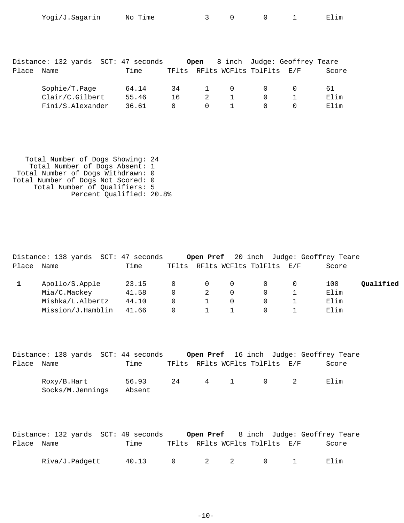| Place | Distance: 132 yards SCT: 47 seconds<br>Name | Time           |          | Open   |          | TFlts RFlts WCFlts TblFlts E/F | 8 inch Judge: Geoffrey Teare | Score      |
|-------|---------------------------------------------|----------------|----------|--------|----------|--------------------------------|------------------------------|------------|
|       | Sophie/T.Page<br>Clair/C.Gilbert            | 64.14<br>55.46 | 34<br>16 | 1<br>2 | $\Omega$ | 0<br>0                         | 0                            | 61<br>Elim |
|       | Fini/S.Alexander                            | 36.61          | $\Omega$ | 0      |          | 0                              | $\Omega$                     | Elim       |

Yogi/J.Sagarin No Time 3 0 0 1 Elim

 Total Number of Dogs Showing: 24 Total Number of Dogs Absent: 1 Total Number of Dogs Withdrawn: 0 Total Number of Dogs Not Scored: 0 Total Number of Qualifiers: 5 Percent Qualified: 20.8%

|       | Distance: 138 yards SCT: 47 seconds |       |          |                |          |                          | Open Pref 20 inch Judge: Geoffrey Teare |           |
|-------|-------------------------------------|-------|----------|----------------|----------|--------------------------|-----------------------------------------|-----------|
| Place | Name                                | Time  | TFlts    |                |          | RFlts WCFlts TblFlts E/F | Score                                   |           |
|       | Apollo/S.Apple                      | 23.15 | $\Omega$ | $\overline{0}$ | $\Omega$ | $\Omega$                 | 100                                     | Qualified |
|       | Mia/C.Mackey                        | 41.58 | 0        | 2              | $\Omega$ | $\Omega$                 | Elim                                    |           |
|       | Mishka/L.Albertz                    | 44.10 | $\Omega$ |                | $\Omega$ | $\Omega$                 | Elim                                    |           |
|       | Mission/J.Hamblin                   | 41.66 | 0        |                |          | $\Omega$                 | Elim                                    |           |

|            | Distance: 138 yards SCT: 44 seconds |        |     |     |                                |                                        | <b>Open Pref</b> 16 inch Judge: Geoffrey Teare |
|------------|-------------------------------------|--------|-----|-----|--------------------------------|----------------------------------------|------------------------------------------------|
| Place Name |                                     | Time   |     |     | TFlts RFlts WCFlts TblFlts E/F |                                        | Score                                          |
|            | Roxy/B.Hart                         | 56.93  | 2.4 | 4 1 |                                | $\begin{array}{ccc} 0 & 2 \end{array}$ | Elim                                           |
|            | Socks/M.Jennings                    | Absent |     |     |                                |                                        |                                                |

|            | Distance: 132 yards SCT: 49 seconds |       |  |                                         | <b>Open Pref</b> 8 inch Judge: Geoffrey Teare |
|------------|-------------------------------------|-------|--|-----------------------------------------|-----------------------------------------------|
| Place Name |                                     | Time  |  | TFlts RFlts WCFlts TblFlts E/F          | Score                                         |
|            | Riva/J.Padqett                      | 40.13 |  | $0 \qquad 2 \qquad 2 \qquad 0 \qquad 1$ | Elim                                          |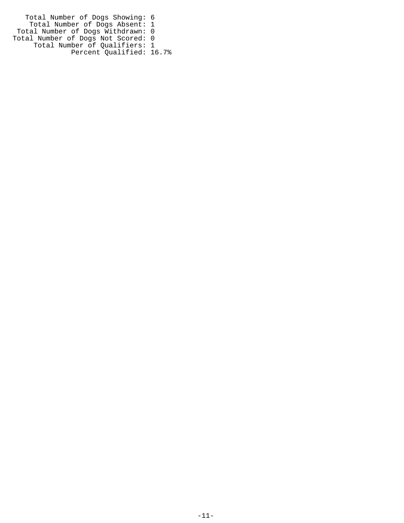Total Number of Dogs Showing: 6 Total Number of Dogs Absent: 1 Total Number of Dogs Withdrawn: 0 Total Number of Dogs Not Scored: 0 Total Number of Qualifiers: 1 Percent Qualified: 16.7%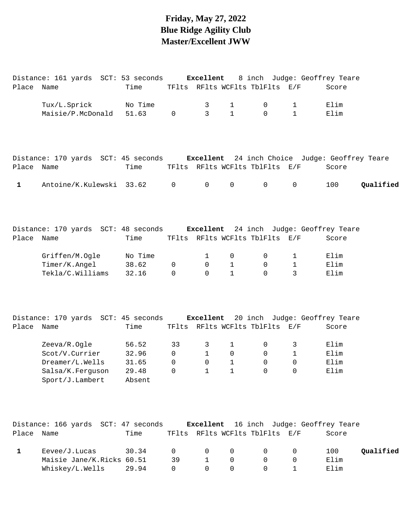# **Friday, May 27, 2022 Blue Ridge Agility Club Master/Excellent JWW**

|             | Distance: 161 yards SCT: 53 seconds                                                |         |              | Excellent    |              |                                |              | 8 inch Judge: Geoffrey Teare            |           |
|-------------|------------------------------------------------------------------------------------|---------|--------------|--------------|--------------|--------------------------------|--------------|-----------------------------------------|-----------|
| Place Name  |                                                                                    | Time    |              |              |              | TFlts RFlts WCFlts TblFlts E/F |              | Score                                   |           |
|             | Tux/L.Sprick                                                                       | No Time |              | 3            | $\mathbf{1}$ | 0                              | 1            | Elim                                    |           |
|             | Maisie/P.McDonald                                                                  | 51.63   | $\mathbf 0$  | 3            | $\mathbf{1}$ | $\Omega$                       | $\mathbf{1}$ | Elim                                    |           |
|             |                                                                                    |         |              |              |              |                                |              |                                         |           |
|             | Distance: 170 yards SCT: 45 seconds Excellent 24 inch Choice Judge: Geoffrey Teare |         |              |              |              |                                |              |                                         |           |
| Place Name  |                                                                                    | Time    |              |              |              | TFlts RFlts WCFlts TblFlts E/F |              | Score                                   |           |
| $\mathbf 1$ | Antoine/K.Kulewski 33.62                                                           |         | $\mathbf 0$  | $\mathbf 0$  | 0            | $\mathbf 0$                    | $\mathbf 0$  | 100                                     | Qualified |
|             | Distance: 170 yards SCT: 48 seconds Excellent 24 inch Judge: Geoffrey Teare        |         |              |              |              |                                |              |                                         |           |
| Place Name  |                                                                                    | Time    |              |              |              | TFlts RFlts WCFlts TblFlts E/F |              | Score                                   |           |
|             | Griffen/M.Ogle                                                                     | No Time |              | $\mathbf{1}$ | 0            | 0                              | 1            | Elim                                    |           |
|             | Timer/K.Angel                                                                      | 38.62   | $\mathbf 0$  | 0            | $\mathbf{1}$ | 0                              | 1            | Elim                                    |           |
|             | Tekla/C.Williams                                                                   | 32.16   | $\Omega$     | $\Omega$     | $\mathbf{1}$ | $\Omega$                       | 3            | Elim                                    |           |
|             | Distance: 170 yards SCT: 45 seconds Excellent 20 inch Judge: Geoffrey Teare        |         |              |              |              |                                |              |                                         |           |
| Place Name  |                                                                                    | Time    |              |              |              | TFlts RFlts WCFlts TblFlts E/F |              | Score                                   |           |
|             | Zeeva/R.Ogle                                                                       | 56.52   | 33           | 3            | $\mathbf 1$  | 0                              | 3            | Elim                                    |           |
|             | Scot/V.Currier                                                                     | 32.96   | $\mathsf{O}$ | $\mathbf{1}$ | 0            | 0                              | $\mathbf 1$  | Elim                                    |           |
|             | Dreamer/L.Wells                                                                    | 31.65   | $\mathbf 0$  | 0            | 1            | 0                              | 0            | Elim                                    |           |
|             | Salsa/K.Ferguson                                                                   | 29.48   | 0            | 1            | 1            | $\overline{0}$                 | 0            | Elim                                    |           |
|             | Sport/J.Lambert                                                                    | Absent  |              |              |              |                                |              |                                         |           |
|             | Distance: 166 yards SCT: 47 seconds                                                |         |              |              |              |                                |              | Excellent 16 inch Judge: Geoffrey Teare |           |
| Place Name  |                                                                                    | Time    |              |              |              | TFlts RFlts WCFlts TblFlts E/F |              | Score                                   |           |
| 1           | Eevee/J.Lucas                                                                      | 30.34   | 0            | 0            | 0            | 0                              | 0            | 100                                     | Qualified |
|             | Maisie Jane/K.Ricks 60.51                                                          |         | 39           | 1            | 0            | 0                              | 0            | Elim                                    |           |
|             | Whiskey/L.Wells                                                                    | 29.94   | 0            | 0            | 0            | 0                              | 1            | Elim                                    |           |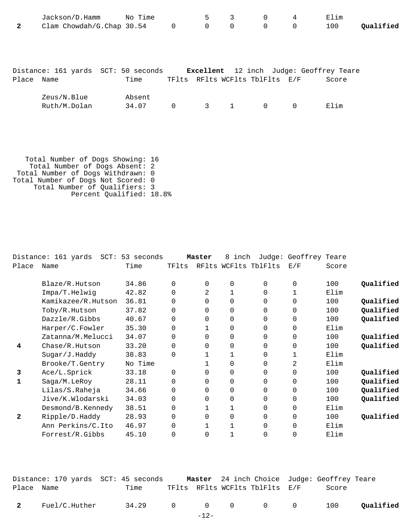| $\mathbf{2}$ | Jackson/D.Hamm No Time<br>Clam Chowdah/G.Chap 30.54 |                 | $\mathbf 0$                                                               | 5<br>$\mathsf{O}$ | 3<br>$\mathbf 0$ | $\mathsf{O}$<br>$\mathsf{O}$ | 4<br>$\mathbf 0$ | Elim<br>100 | Qualified |
|--------------|-----------------------------------------------------|-----------------|---------------------------------------------------------------------------|-------------------|------------------|------------------------------|------------------|-------------|-----------|
| Place Name   | Distance: 161 yards SCT: 50 seconds                 | Time            | Excellent 12 inch Judge: Geoffrey Teare<br>TFlts RFlts WCFlts TblFlts E/F |                   |                  |                              |                  | Score       |           |
|              | Zeus/N.Blue<br>Ruth/M.Dolan                         | Absent<br>34.07 | $\mathbf 0$                                                               | $3 \t 1$          |                  | $\overline{0}$               | $\overline{0}$   | Elim        |           |
|              |                                                     |                 |                                                                           |                   |                  |                              |                  |             |           |

 Total Number of Dogs Showing: 16 Total Number of Dogs Absent: 2 Total Number of Dogs Withdrawn: 0 Total Number of Dogs Not Scored: 0 Total Number of Qualifiers: 3 Percent Qualified: 18.8%

|                | $SCT$ :<br>Distance: 161 yards | 53 seconds |          | Master   | 8<br>inch |                      | Judge: Geoffrey Teare |       |           |
|----------------|--------------------------------|------------|----------|----------|-----------|----------------------|-----------------------|-------|-----------|
| Place          | Name                           | Time       | TFlts    |          |           | RFlts WCFlts TblFlts | E/F                   | Score |           |
|                |                                | 34.86      | $\Omega$ | $\Omega$ |           | $\Omega$             | $\Omega$              | 100   | Qualified |
|                | Blaze/R.Hutson                 |            |          |          | 0         |                      |                       |       |           |
|                | Impa/T.Helwig                  | 42.82      | $\Omega$ | 2        |           | $\Omega$             |                       | Elim  |           |
|                | Kamikazee/R.Hutson             | 36.81      | $\Omega$ | 0        | 0         | 0                    | 0                     | 100   | Qualified |
|                | Toby/R.Hutson                  | 37.82      | $\Omega$ | $\Omega$ | 0         | $\Omega$             | 0                     | 100   | Qualified |
|                | Dazzle/R.Gibbs                 | 40.67      | $\Omega$ | $\Omega$ | $\Omega$  | $\Omega$             | $\Omega$              | 100   | Qualified |
|                | Harper/C.Fowler                | 35.30      | $\Omega$ |          | 0         | $\Omega$             | 0                     | Elim  |           |
|                | Zatanna/M.Melucci              | 34.07      | $\Omega$ | $\Omega$ | $\Omega$  | $\Omega$             | $\Omega$              | 100   | Qualified |
| 4              | Chase/R.Hutson                 | 33.20      | 0        | 0        | 0         | $\Omega$             | 0                     | 100   | Qualified |
|                | Sugar/J.Haddy                  | 38.83      | $\Omega$ |          | 1         | $\Omega$             | $\mathbf{1}$          | Elim  |           |
|                | Brooke/T.Gentry                | No Time    |          |          | 0         | $\Omega$             | 2                     | Elim  |           |
| 3              | Ace/L.Sprick                   | 33.18      | $\Omega$ | 0        | $\Omega$  | $\Omega$             | 0                     | 100   | Qualified |
|                | Saga/M.LeRoy                   | 28.11      | $\Omega$ | 0        | 0         | 0                    | 0                     | 100   | Qualified |
|                | Lilas/S.Raheja                 | 34.66      | $\Omega$ | 0        | 0         | $\Omega$             | 0                     | 100   | Qualified |
|                | Jive/K.Wlodarski               | 34.03      | $\Omega$ | 0        | 0         | 0                    | 0                     | 100   | Qualified |
|                | Desmond/B.Kennedy              | 38.51      | $\Omega$ |          | 1         | $\Omega$             | 0                     | Elim  |           |
| $\overline{2}$ | Ripple/D.Haddy                 | 28.93      | $\Omega$ | $\Omega$ | 0         | $\Omega$             | $\Omega$              | 100   | Qualified |
|                | Ann Perkins/C.Ito              | 46.97      | 0        |          |           | $\Omega$             | 0                     | Elim  |           |
|                | Forrest/R.Gibbs                | 45.10      | $\Omega$ | 0        |           | 0                    | 0                     | Elim  |           |

|            |               | Distance: 170 yards  SCT: 45 seconds |        |                                | <b>Master</b> 24 inch Choice Judge: Geoffrey Teare |           |
|------------|---------------|--------------------------------------|--------|--------------------------------|----------------------------------------------------|-----------|
| Place Name |               | Time                                 |        | TFlts RFlts WCFlts TblFlts E/F | Score                                              |           |
| 2          | Fuel/C.Huther | 34.29 0 0 0 0 0 100                  |        |                                |                                                    | Qualified |
|            |               |                                      | $-12-$ |                                |                                                    |           |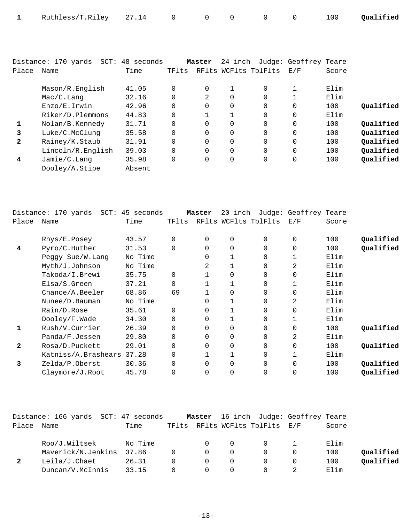|  | 1 Ruthless/T.Riley 27.14 0 0 0 0 0 0 100 Qualified |  |  |  |  |  |  |  |  |
|--|----------------------------------------------------|--|--|--|--|--|--|--|--|
|--|----------------------------------------------------|--|--|--|--|--|--|--|--|

|              | Distance: 170 yards | SCT: 48 seconds |          | Master   | 24 inch |                      | Judge: Geoffrey Teare |       |           |
|--------------|---------------------|-----------------|----------|----------|---------|----------------------|-----------------------|-------|-----------|
| Place        | Name                | Time            | TFlts    |          |         | RFlts WCFlts TblFlts | E/F                   | Score |           |
|              |                     |                 |          |          |         |                      |                       |       |           |
|              | Mason/R.English     | 41.05           | $\Omega$ | 0        |         | 0                    |                       | Elim  |           |
|              | Mac/C.Lanq          | 32.16           | $\Omega$ | 2        | 0       | 0                    |                       | Elim  |           |
|              | Enzo/E.Irwin        | 42.96           | $\Omega$ | $\Omega$ | 0       | $\Omega$             | 0                     | 100   | Oualified |
|              | Riker/D.Plemmons    | 44.83           | $\Omega$ |          |         | $\Omega$             | $\Omega$              | Elim  |           |
| 1            | Nolan/B.Kennedy     | 31.71           | $\Omega$ | $\Omega$ | 0       | $\Omega$             | $\Omega$              | 100   | Oualified |
| 3            | Luke/C.McClunq      | 35.58           | $\Omega$ | $\Omega$ | 0       | $\Omega$             | 0                     | 100   | Oualified |
| $\mathbf{2}$ | Rainey/K.Staub      | 31.91           | $\Omega$ | 0        | 0       | 0                    | 0                     | 100   | Qualified |
|              | Lincoln/R.English   | 39.03           | $\Omega$ | $\Omega$ | 0       | $\Omega$             | 0                     | 100   | Qualified |
| 4            | Jamie/C.Lanq        | 35.98           | $\Omega$ | $\Omega$ | 0       | 0                    | 0                     | 100   | Qualified |
|              | Dooley/A.Stipe      | Absent          |          |          |         |                      |                       |       |           |

|       | Distance: 170 yards SCT: 45 seconds |         |          | Master   | 20<br>inch |                      | Judge: Geoffrey Teare |       |           |
|-------|-------------------------------------|---------|----------|----------|------------|----------------------|-----------------------|-------|-----------|
| Place | Name                                | Time    | TFlts    |          |            | RFlts WCFlts TblFlts | E/F                   | Score |           |
|       | Rhys/E.Posey                        | 43.57   | $\Omega$ | $\Omega$ | 0          | $\Omega$             | 0                     | 100   | Qualified |
| 4     | Pyro/C.Huther                       | 31.53   | $\Omega$ | $\Omega$ | 0          | $\Omega$             | 0                     | 100   | Qualified |
|       | Peggy Sue/W. Lang                   | No Time |          | $\Omega$ |            | $\Omega$             |                       | Elim  |           |
|       | Myth/J.Johnson                      | No Time |          | 2        |            | $\Omega$             | 2                     | Elim  |           |
|       | Takoda/I.Brewi                      | 35.75   | $\Omega$ |          | 0          | $\Omega$             | 0                     | Elim  |           |
|       | Elsa/S.Green                        | 37.21   | $\Omega$ |          |            | $\Omega$             |                       | Elim  |           |
|       | Change/A. Beeler                    | 68.86   | 69       |          | 0          | $\Omega$             | 0                     | Elim  |           |
|       | Nunee/D. Bauman                     | No Time |          | 0        |            | $\Omega$             | 2                     | Elim  |           |
|       | Rain/D.Rose                         | 35.61   | $\Omega$ | $\Omega$ |            | $\Omega$             | 0                     | Elim  |           |
|       | Dooley/F.Wade                       | 34.30   | $\Omega$ | $\Omega$ |            | $\Omega$             |                       | Elim  |           |
| 1     | Rush/V.Currier                      | 26.39   | $\Omega$ | $\Omega$ | 0          | $\Omega$             | 0                     | 100   | Qualified |
|       | Panda/F.Jessen                      | 29.80   | $\Omega$ | $\Omega$ | $\Omega$   | $\Omega$             | 2                     | Elim  |           |
| 2     | Rosa/D.Puckett                      | 29.01   | $\Omega$ | $\Omega$ | 0          | $\Omega$             | 0                     | 100   | Qualified |
|       | Katniss/A. Brashears                | 37.28   | 0        |          |            | $\Omega$             |                       | Elim  |           |
| 3     | Zelda/P.Oberst                      | 30.36   | $\Omega$ | $\Omega$ | 0          | $\Omega$             | 0                     | 100   | Qualified |
|       | Claymore/J.Root                     | 45.78   | $\Omega$ | 0        | 0          | 0                    | 0                     | 100   | Qualified |
|       |                                     |         |          |          |            |                      |                       |       |           |

|       | Distance: 166 yards SCT: 47 seconds |         |              | Master   |          |                                | 16 inch Judge: Geoffrey Teare |       |           |
|-------|-------------------------------------|---------|--------------|----------|----------|--------------------------------|-------------------------------|-------|-----------|
| Place | Name                                | Time    |              |          |          | TFlts RFlts WCFlts TblFlts E/F |                               | Score |           |
|       | Roo/J.Wiltsek                       | No Time |              | $\Omega$ | $\Omega$ | $\Omega$                       |                               | Elim  |           |
|       | Maverick/N.Jenkins                  | 37.86   | $\Omega$     | $\Omega$ |          |                                | $\Omega$                      | 100   | Qualified |
| 2     | Leila/J.Chaet                       | 26.31   | <sup>n</sup> | $\Omega$ | $\Omega$ |                                | $\Omega$                      | 100   | Oualified |
|       | Duncan/V.McInnis                    | 33.15   | $^{\circ}$   | $\Omega$ |          |                                |                               | Elim  |           |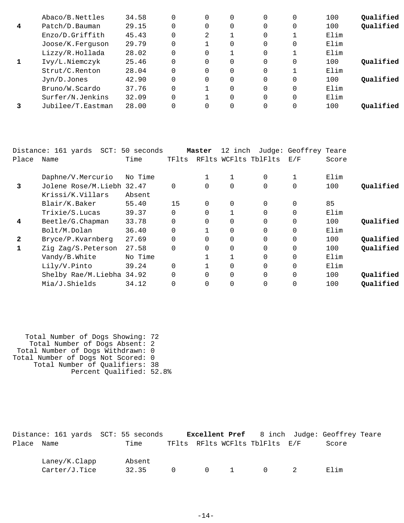|   | Abaco/B.Nettles   | 34.58 |          |          |   | 0        | 0        | 100  | Qualified |
|---|-------------------|-------|----------|----------|---|----------|----------|------|-----------|
| 4 | Patch/D.Bauman    | 29.15 | $\Omega$ | $\Omega$ | 0 | $\Omega$ | 0        | 100  | Qualified |
|   | Enzo/D.Griffith   | 45.43 | $\Omega$ | 2        |   | 0        |          | Elim |           |
|   | Joose/K.Ferguson  | 29.79 | $\Omega$ |          | 0 | 0        | $\Omega$ | Elim |           |
|   | Lizzy/R.Hollada   | 28.02 | $\Omega$ | $\Omega$ |   | $\Omega$ |          | Elim |           |
|   | Ivy/L.Niemczyk    | 25.46 | $\Omega$ | $\Omega$ | 0 | $\Omega$ | 0        | 100  | Oualified |
|   | Strut/C.Renton    | 28.04 | $\Omega$ | $\Omega$ | 0 | 0        |          | Elim |           |
|   | Jyn/D.Jones       | 42.90 | $\Omega$ | $\Omega$ | 0 | $\Omega$ | $\Omega$ | 100  | Oualified |
|   | Bruno/W.Scardo    | 37.76 | $\Omega$ |          | 0 | $\Omega$ | $\Omega$ | Elim |           |
|   | Surfer/N.Jenkins  | 32.09 | $\Omega$ |          | 0 | $\Omega$ | $\Omega$ | Elim |           |
|   | Jubilee/T.Eastman | 28.00 | $\Omega$ | $\Omega$ |   | $\Omega$ | 0        | 100  | Oualified |

|       | Distance: 161 yards<br>$SCT$ : | 50 seconds |          | Master   | 12 inch |                      | Judge: Geoffrey Teare |       |           |
|-------|--------------------------------|------------|----------|----------|---------|----------------------|-----------------------|-------|-----------|
| Place | Name                           | Time       | TFlts    |          |         | RFlts WCFlts TblFlts | E/F                   | Score |           |
|       | Daphne/V.Mercurio              | No Time    |          | 1        |         | $\Omega$             | 1                     | Elim  |           |
| 3     | Jolene Rose/M.Liebh 32.47      |            | $\Omega$ | $\Omega$ | 0       | $\overline{0}$       | $\mathbf 0$           | 100   | Oualified |
|       | Krissi/K.Villars               | Absent     |          |          |         |                      |                       |       |           |
|       | Blair/K.Baker                  | 55.40      | 15       | $\Omega$ | 0       | $\Omega$             | $\mathbf 0$           | 85    |           |
|       | Trixie/S.Lucas                 | 39.37      | $\Omega$ | $\Omega$ |         | $\Omega$             | $\mathbf 0$           | Elim  |           |
| 4     | Beetle/G.Chapman               | 33.78      |          | $\Omega$ | 0       | 0                    | $\mathbf 0$           | 100   | Qualified |
|       | Bolt/M.Dolan                   | 36.40      | $\Omega$ |          | 0       | $\Omega$             | $\mathbf 0$           | Elim  |           |
| 2     | Bryce/P.Kvarnberg              | 27.69      |          | $\Omega$ | 0       | $\Omega$             | $\Omega$              | 100   | Qualified |
|       | Zig Zag/S.Peterson             | 27.58      | $\Omega$ | $\Omega$ | 0       | $\Omega$             | $\mathbf 0$           | 100   | Qualified |
|       | Vandy/B.White                  | No Time    |          |          |         | $\Omega$             | $\Omega$              | Elim  |           |
|       | Lily/V.Pinto                   | 39.24      | $\Omega$ |          | 0       | $\Omega$             | $\mathbf 0$           | Elim  |           |
|       | Shelby Rae/M.Liebha 34.92      |            | $\Omega$ | $\Omega$ | 0       | $\Omega$             | $\Omega$              | 100   | Qualified |
|       | Mia/J.Shields                  | 34.12      |          | 0        | 0       | $\Omega$             | $\Omega$              | 100   | Qualified |

| Total Number of Dogs Showing: 72   |
|------------------------------------|
| Total Number of Dogs Absent: 2     |
| Total Number of Dogs Withdrawn: 0  |
| Total Number of Dogs Not Scored: 0 |
| Total Number of Qualifiers: 38     |
| Percent Qualified: 52.8%           |
|                                    |

|            | Distance: 161 yards SCT: 55 seconds |        |          |  |                                | <b>Excellent Pref</b> 8 inch Judge: Geoffrey Teare |  |
|------------|-------------------------------------|--------|----------|--|--------------------------------|----------------------------------------------------|--|
| Place Name |                                     | Time   |          |  | TFlts RFlts WCFlts TblFlts E/F | Score                                              |  |
|            | Laney/K.Clapp                       | Absent |          |  |                                |                                                    |  |
|            | Carter/J.Tice                       | 32.35  | $\Omega$ |  | $0 \qquad 1 \qquad 0 \qquad 2$ | Elim                                               |  |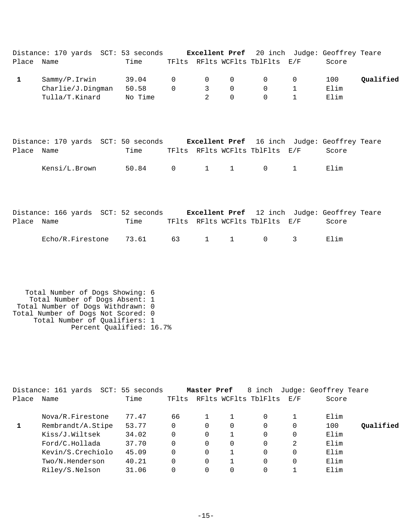| Place Name                                                                                                                                                                    | Distance: 170 yards SCT: 53 seconds Excellent Pref 20 inch Judge: Geoffrey Teare                     | Time                      |                         |                                               |                        | TFlts RFlts WCFlts TblFlts E/F                      |                                   | Score               |           |
|-------------------------------------------------------------------------------------------------------------------------------------------------------------------------------|------------------------------------------------------------------------------------------------------|---------------------------|-------------------------|-----------------------------------------------|------------------------|-----------------------------------------------------|-----------------------------------|---------------------|-----------|
| $\mathbf{1}$                                                                                                                                                                  | Sammy/P.Irwin<br>Charlie/J.Dingman<br>Tulla/T.Kinard                                                 | 39.04<br>50.58<br>No Time | $\mathbf 0$<br>$\Omega$ | $\mathbf 0$<br>$\mathbf{3}$<br>$\mathfrak{D}$ | 0<br>0<br>$\Omega$     | $\mathbf 0$<br>$\Omega$<br>$\Omega$                 | 0<br>$\mathbf{1}$<br>$\mathbf{1}$ | 100<br>Elim<br>Elim | Qualified |
| Place Name                                                                                                                                                                    | Distance: 170 yards SCT: 50 seconds Excellent Pref 16 inch Judge: Geoffrey Teare<br>Kensi/L.Brown    | Time<br>50.84             | $0 \qquad \qquad$       |                                               | $1 \quad 1$            | TFlts RFlts WCFlts TblFlts E/F<br>$\overline{0}$    | $\mathbf{1}$                      | Score<br>Elim       |           |
| Place Name                                                                                                                                                                    | Distance: 166 yards SCT: 52 seconds Excellent Pref 12 inch Judge: Geoffrey Teare<br>Echo/R.Firestone | Time<br>73.61             | 63 — 10                 | $1 \quad \blacksquare$                        | $1 \quad \blacksquare$ | TFlts RFlts WCFlts TblFlts E/F<br>$0 \qquad \qquad$ | 3                                 | Score<br>Elim       |           |
| Total Number of Dogs Showing: 6<br>Total Number of Dogs Absent: 1<br>Total Number of Dogs Withdrawn: 0<br>Total Number of Dogs Not Scored: 0<br>Total Number of Qualifiers: 1 |                                                                                                      |                           |                         |                                               |                        |                                                     |                                   |                     |           |

|  |  | $10001$ $100000$ $1000$ $1000$ |  |
|--|--|--------------------------------|--|
|  |  | Percent Qualified: 16.7%       |  |

|       | Distance: 161 yards | SCT: 55 seconds |       | Master Pref |   | 8 inch               |     | Judge: Geoffrey Teare |           |
|-------|---------------------|-----------------|-------|-------------|---|----------------------|-----|-----------------------|-----------|
| Place | Name                | Time            | TFlts |             |   | RFlts WCFlts TblFlts | E/F | Score                 |           |
|       | Nova/R.Firestone    | 77.47           | 66    |             |   | $\Omega$             |     | Elim                  |           |
|       | Rembrandt/A.Stipe   | 53.77           | 0     | 0           | 0 | $\Omega$             | 0   | 100                   | Oualified |
|       | Kiss/J.Wiltsek      | 34.02           | 0     | $\Omega$    |   | $\Omega$             | 0   | Elim                  |           |
|       | Ford/C.Hollada      | 37.70           |       | 0           | 0 | $\Omega$             | 2   | Elim                  |           |
|       | Kevin/S.Crechiolo   | 45.09           | 0     | $\Omega$    |   | $\Omega$             | 0   | Elim                  |           |
|       | Two/N.Henderson     | 40.21           |       | $\Omega$    |   | $\Omega$             | 0   | Elim                  |           |
|       | Riley/S.Nelson      | 31.06           |       | 0           | 0 | $\Omega$             |     | Elim                  |           |
|       |                     |                 |       |             |   |                      |     |                       |           |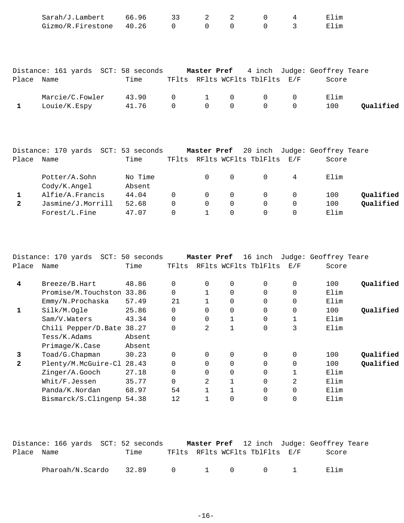|              | Sarah/J.Lambert                                                               | 66.96   | 33             | 2              | 2            | 0                              | 4              | Elim  |           |
|--------------|-------------------------------------------------------------------------------|---------|----------------|----------------|--------------|--------------------------------|----------------|-------|-----------|
|              | Gizmo/R.Firestone 40.26                                                       |         | $\overline{0}$ | $\overline{0}$ | $\mathsf{O}$ | $\Omega$                       | $\mathfrak{Z}$ | Elim  |           |
|              |                                                                               |         |                |                |              |                                |                |       |           |
|              | Distance: 161 yards SCT: 58 seconds Master Pref 4 inch Judge: Geoffrey Teare  |         |                |                |              |                                |                |       |           |
| Place Name   |                                                                               | Time    |                |                |              | TFlts RFlts WCFlts TblFlts E/F |                | Score |           |
|              | Marcie/C.Fowler 43.90                                                         |         | $\overline{0}$ | $\mathbf{1}$   | 0            |                                | 0              | Elim  |           |
| $\mathbf{1}$ | Louie/K.Espy                                                                  | 41.76   | $\mathsf{O}$   | $\overline{0}$ | $\mathbf 0$  | $\mathbf 0$                    | $\mathbf 0$    | 100   | Qualified |
|              |                                                                               |         |                |                |              |                                |                |       |           |
|              |                                                                               |         |                |                |              |                                |                |       |           |
|              | Distance: 170 yards SCT: 53 seconds Master Pref 20 inch Judge: Geoffrey Teare |         |                |                |              |                                |                |       |           |
| Place Name   |                                                                               | Time    |                |                |              | TFlts RFlts WCFlts TblFlts E/F |                | Score |           |
|              | Potter/A.Sohn                                                                 | No Time |                | $\overline{0}$ | 0            | 0                              | 4              | Elim  |           |

| LOCCE / H. DOIIII | $110T + 111C$ |  |  | <u>т</u> | ، ،،، +، +، د |           |
|-------------------|---------------|--|--|----------|---------------|-----------|
| Cody/K.Angel      | Absent        |  |  |          |               |           |
| Alfie/A.Francis   | 44.04         |  |  |          | 100           | Oualified |
| Jasmine/J.Morrill | 52.68         |  |  |          | 100           | Qualified |
| Forest/L.Fine     | 47.07         |  |  |          | Elim          |           |
|                   |               |  |  |          |               |           |

|              | Distance: 170 yards SCT: 50 seconds |        |          | Master Pref |              | 16 inch              |                | Judge: Geoffrey Teare |           |
|--------------|-------------------------------------|--------|----------|-------------|--------------|----------------------|----------------|-----------------------|-----------|
| Place        | Name                                | Time   | TFlts    |             |              | RFlts WCFlts TblFlts | E/F            | Score                 |           |
|              |                                     |        |          |             |              |                      |                |                       |           |
| 4            | Breeze/B.Hart                       | 48.86  | 0        | 0           | 0            | 0                    | $\mathbf 0$    | 100                   | Qualified |
|              | Promise/M.Touchston 33.86           |        | $\Omega$ |             | $\Omega$     | 0                    | 0              | Elim                  |           |
|              | Emmy/N.Prochaska                    | 57.49  | 21       |             | $\Omega$     | 0                    | $\mathbf 0$    | Elim                  |           |
| $\mathbf 1$  | Silk/M.Ogle                         | 25.86  | $\Omega$ | $\Omega$    | 0            | 0                    | $\overline{0}$ | 100                   | Qualified |
|              | Sam/V.Waters                        | 43.34  | $\Omega$ | $\Omega$    |              | 0                    |                | Elim                  |           |
|              | Chili Pepper/D.Bate 38.27           |        | $\Omega$ | 2           | $\mathbf{1}$ | 0                    | 3              | Elim                  |           |
|              | Tess/K.Adams                        | Absent |          |             |              |                      |                |                       |           |
|              | Primage/K.Case                      | Absent |          |             |              |                      |                |                       |           |
| 3            | Toad/G.Chapman                      | 30.23  | $\Omega$ | 0           | 0            | $\Omega$             | $\mathbf 0$    | 100                   | Qualified |
| $\mathbf{2}$ | Plenty/M.McGuire-Cl                 | 28.43  | $\Omega$ | $\Omega$    | $\Omega$     | 0                    | $\Omega$       | 100                   | Qualified |
|              | Zinger/A.Gooch                      | 27.18  | 0        | $\Omega$    | $\Omega$     | 0                    |                | Elim                  |           |
|              | Whit/F.Jessen                       | 35.77  | $\Omega$ | 2           | $\mathbf{1}$ | 0                    | 2              | Elim                  |           |
|              | Panda/K.Nordan                      | 68.97  | 54       |             |              | 0                    | $\mathbf 0$    | Elim                  |           |
|              | Bismarck/S.Clingenp                 | 54.38  | 12       |             | 0            | 0                    | 0              | Elim                  |           |
|              |                                     |        |          |             |              |                      |                |                       |           |

|            | Distance: 166 yards  SCT: 52 seconds |      |  |                                | <b>Master Pref</b> 12 inch Judge: Geoffrey Teare |
|------------|--------------------------------------|------|--|--------------------------------|--------------------------------------------------|
| Place Name |                                      | Time |  | TFlts RFlts WCFlts TblFlts E/F | Score                                            |
|            | Pharoah/N.Scardo 32.89 0 1 0 0 1     |      |  |                                | Elim                                             |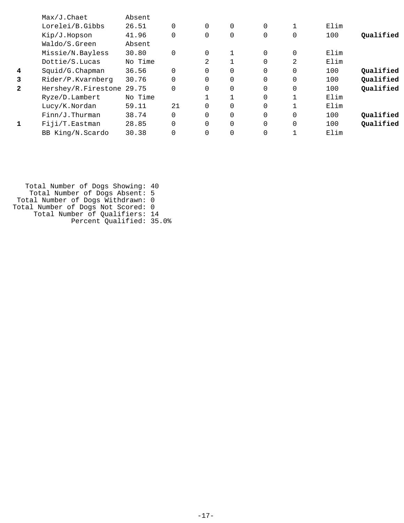|              | $Max/J$ . Chaet     | Absent  |          |          |          |          |          |      |           |
|--------------|---------------------|---------|----------|----------|----------|----------|----------|------|-----------|
|              | Lorelei/B.Gibbs     | 26.51   | $\Omega$ | $\Omega$ | 0        | $\Omega$ |          | Elim |           |
|              | Kip/J.Hopson        | 41.96   | $\Omega$ | 0        | 0        | 0        | 0        | 100  | Oualified |
|              | Waldo/S.Green       | Absent  |          |          |          |          |          |      |           |
|              | Missie/N.Bayless    | 30.80   | $\Omega$ | $\Omega$ |          | $\Omega$ | $\Omega$ | Elim |           |
|              | Dottie/S.Lucas      | No Time |          | 2        |          | 0        | 2        | Elim |           |
| 4            | Squid/G.Chapman     | 36.56   | $\Omega$ | 0        | 0        | $\Omega$ | $\Omega$ | 100  | Qualified |
| 3            | Rider/P.Kvarnberg   | 30.76   | $\Omega$ | 0        | 0        | $\Omega$ | 0        | 100  | Qualified |
| $\mathbf{2}$ | Hershey/R.Firestone | 29.75   | $\Omega$ | 0        | 0        | $\Omega$ | 0        | 100  | Qualified |
|              | Ryze/D.Lambert      | No Time |          |          |          | $\Omega$ |          | Elim |           |
|              | Lucy/K.Nordan       | 59.11   | 21       | $\Omega$ | 0        | $\Omega$ |          | Elim |           |
|              | $Finn/J$ . Thurman  | 38.74   | $\Omega$ | 0        | 0        | $\Omega$ | 0        | 100  | Qualified |
|              | Fiji/T.Eastman      | 28.85   | $\Omega$ | $\Omega$ | $\Omega$ | $\Omega$ | 0        | 100  | Qualified |
|              | BB King/N.Scardo    | 30.38   |          | 0        | 0        | 0        |          | Elim |           |

 Total Number of Dogs Showing: 40 Total Number of Dogs Absent: 5 Total Number of Dogs Withdrawn: 0 Total Number of Dogs Not Scored: 0 Total Number of Qualifiers: 14 Percent Qualified: 35.0%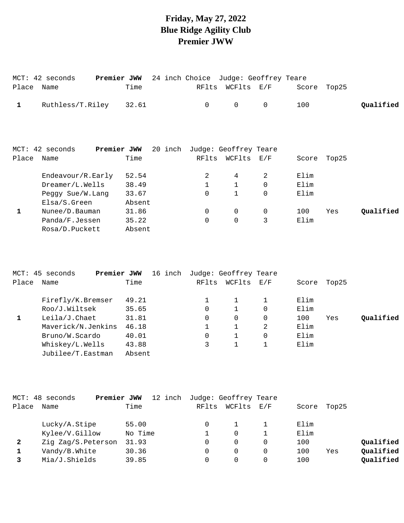# **Friday, May 27, 2022 Blue Ridge Agility Club Premier JWW**

| Place | MCT: 42 seconds<br>Name | Premier JWW | Time   |         | 24 inch Choice<br>RFlts | WCFlts       | Judge: Geoffrey Teare<br>E/F | Score | Top25 |           |
|-------|-------------------------|-------------|--------|---------|-------------------------|--------------|------------------------------|-------|-------|-----------|
| 1     | Ruthless/T.Riley        |             | 32.61  |         | $\mathbf 0$             | $\mathbf 0$  | $\Omega$                     | 100   |       | Qualified |
|       |                         |             |        |         |                         |              |                              |       |       |           |
|       |                         |             |        |         |                         |              |                              |       |       |           |
|       | MCT: 42 seconds         | Premier JWW |        | 20 inch |                         |              | Judge: Geoffrey Teare        |       |       |           |
| Place | Name                    |             | Time   |         | RFlts                   | WCFlts       | E/F                          | Score | Top25 |           |
|       | Endeavour/R.Early       |             | 52.54  |         | 2                       | 4            | 2                            | Elim  |       |           |
|       | Dreamer/L.Wells         |             | 38.49  |         | $\mathbf 1$             | $\mathbf{1}$ | $\Omega$                     | Elim  |       |           |
|       | Peggy Sue/W.Lang        |             | 33.67  |         | $\Omega$                |              | $\Omega$                     | Elim  |       |           |
|       | Elsa/S.Green            |             | Absent |         |                         |              |                              |       |       |           |
| 1     | Nunee/D.Bauman          |             | 31.86  |         | 0                       | $\mathbf 0$  | 0                            | 100   | Yes   | Qualified |
|       | Panda/F.Jessen          |             | 35.22  |         | $\overline{0}$          | $\mathbf 0$  | 3                            | Elim  |       |           |
|       | Rosa/D.Puckett          |             | Absent |         |                         |              |                              |       |       |           |

|       | MCT: 45 seconds<br>Premier JWW | 16 inch |       | Judge: Geoffrey Teare |          |       |       |           |
|-------|--------------------------------|---------|-------|-----------------------|----------|-------|-------|-----------|
| Place | Name                           | Time    | RFlts | WCFlts                | E/F      | Score | Top25 |           |
|       | Firefly/K.Bremser              | 49.21   |       |                       |          | Elim  |       |           |
|       | Roo/J.Wiltsek                  | 35.65   | 0     |                       | $\Omega$ | Elim  |       |           |
|       | Leila/J.Chaet                  | 31.81   | 0     | 0                     | $\Omega$ | 100   | Yes   | Oualified |
|       | Maverick/N.Jenkins             | 46.18   |       |                       | 2        | Elim  |       |           |
|       | Bruno/W.Scardo                 | 40.01   | 0     |                       |          | Elim  |       |           |
|       | Whiskey/L.Wells                | 43.88   | 3     |                       |          | Elim  |       |           |
|       | Jubilee/T.Eastman              | Absent  |       |                       |          |       |       |           |
|       |                                |         |       |                       |          |       |       |           |

|              | MCT: 48 seconds<br>Premier JWW | 12 inch | Judge: Geoffrey Teare |        |     |       |       |           |
|--------------|--------------------------------|---------|-----------------------|--------|-----|-------|-------|-----------|
| Place        | Name                           | Time    | RFlts                 | WCFlts | E/F | Score | Top25 |           |
|              | Lucky/A.Stipe                  | 55.00   |                       |        |     | Elim  |       |           |
|              | Kylee/V.Gillow                 | No Time |                       | 0      |     | Elim  |       |           |
| $\mathbf{2}$ | Zig Zag/S.Peterson             | 31.93   | 0                     | 0      |     | 100   |       | Qualified |
|              | Vandy/B.White                  | 30.36   | 0                     | 0      |     | 100   | Yes   | Qualified |
|              | Mia/J.Shields                  | 39.85   |                       |        |     | 100   |       | Qualified |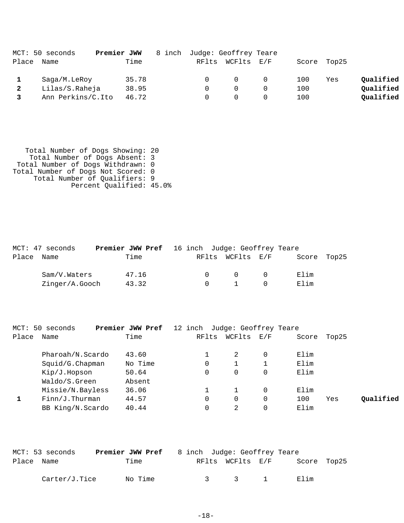|       | MCT: 50 seconds   | Premier JWW | 8 inch Judge: Geoffrey Teare |                  |                |     |             |           |
|-------|-------------------|-------------|------------------------------|------------------|----------------|-----|-------------|-----------|
| Place | Name              | Time        |                              | RFlts WCFlts E/F |                |     | Score Top25 |           |
|       | Saga/M.LeRoy      | 35.78       | $\Omega$                     | $\Omega$         | $\overline{0}$ | 100 | Yes         | Qualified |
|       | Lilas/S.Raheja    | 38.95       |                              | $\Omega$         |                | 100 |             | Qualified |
|       | Ann Perkins/C.Ito | 46.72       |                              |                  |                | 100 |             | Qualified |

 Total Number of Dogs Showing: 20 Total Number of Dogs Absent: 3 Total Number of Dogs Withdrawn: 0 Total Number of Dogs Not Scored: 0 Total Number of Qualifiers: 9 Percent Qualified: 45.0%

|            | MCT: 47 seconds | <b>Premier JWW Pref</b> 16 inch Judge: Geoffrey Teare |       |  |        |                  |           |             |  |
|------------|-----------------|-------------------------------------------------------|-------|--|--------|------------------|-----------|-------------|--|
| Place Name |                 |                                                       | Time  |  |        | RFlts WCFlts E/F |           | Score Top25 |  |
|            | Sam/V.Waters    |                                                       | 47.16 |  | $\cap$ | $\overline{0}$   | $\bigcap$ | Elim        |  |
|            | Zinger/A.Gooch  |                                                       | 43.32 |  | $\cap$ | $\overline{1}$   | - 0       | Elim        |  |

|       | MCT: 50 seconds    | Premier JWW Pref | 12 inch | Judge: Geoffrey Teare |     |       |       |           |
|-------|--------------------|------------------|---------|-----------------------|-----|-------|-------|-----------|
| Place | Name               | Time             | RFlts   | WCFlts                | E/F | Score | Top25 |           |
|       | Pharoah/N.Scardo   | 43.60            |         | 2                     |     | Elim  |       |           |
|       | Squid/G.Chapman    | No Time          | 0       |                       |     | Elim  |       |           |
|       | Kip/J.Hopson       | 50.64            | 0       | 0                     |     | Elim  |       |           |
|       | Waldo/S.Green      | Absent           |         |                       |     |       |       |           |
|       | Missie/N.Bayless   | 36.06            |         |                       | 0   | Elim  |       |           |
|       | $Finn/J$ . Thurman | 44.57            | 0       | 0                     | 0   | 100   | Yes   | Oualified |
|       | BB King/N.Scardo   | 40.44            |         | 2                     |     | Elim  |       |           |

|            | MCT: 53 seconds | Premier JWW Pref | 8 inch Judge: Geoffrey Teare |                  |             |  |
|------------|-----------------|------------------|------------------------------|------------------|-------------|--|
| Place Name |                 | Time             |                              | RFlts WCFlts E/F | Score Top25 |  |
|            | Carter/J.Tice   | No Time          |                              | 3 3 1            | Elim        |  |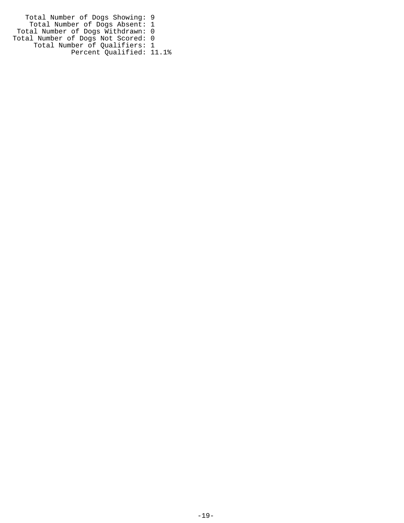Total Number of Dogs Showing: 9 Total Number of Dogs Absent: 1 Total Number of Dogs Withdrawn: 0 Total Number of Dogs Not Scored: 0 Total Number of Qualifiers: 1 Percent Qualified: 11.1%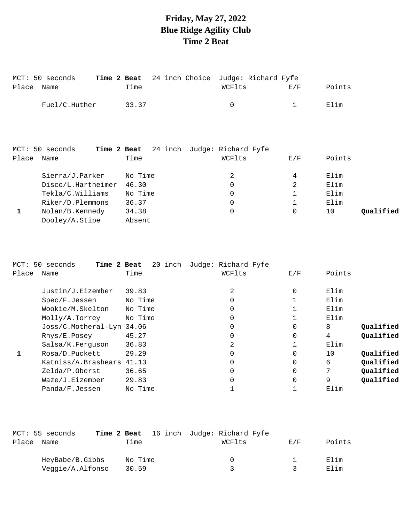# **Friday, May 27, 2022 Blue Ridge Agility Club Time 2 Beat**

| Place | MCT: 50 seconds<br>Time 2 Beat<br>Name | 24 inch Choice<br>Time                  | Judge: Richard Fyfe<br>WCFlts | E/F         | Points          |
|-------|----------------------------------------|-----------------------------------------|-------------------------------|-------------|-----------------|
|       | Fuel/C.Huther                          | 33.37                                   | 0                             | $\mathbf 1$ | Elim            |
|       |                                        |                                         |                               |             |                 |
|       |                                        |                                         |                               |             |                 |
|       | MCT: 50 seconds                        | Time 2 Beat 24 inch Judge: Richard Fyfe |                               |             |                 |
| Place | Name                                   | Time                                    | WCFlts                        | E/F         | Points          |
|       | Sierra/J.Parker                        | No Time                                 | 2                             | 4           | Elim            |
|       | Disco/L.Hartheimer                     | 46.30                                   | $\mathbf 0$                   | 2           | Elim            |
|       | Tekla/C.Williams                       | No Time                                 | 0                             | 1           | Elim            |
|       | Riker/D.Plemmons                       | 36.37                                   | 0                             | 1           | Elim            |
| 1     | Nolan/B.Kennedy                        | 34.38                                   | 0                             | 0           | Qualified<br>10 |
|       | Dooley/A.Stipe                         | Absent                                  |                               |             |                 |

|       | MCT: 50 seconds<br>Time 2 Beat | 20 inch | Judge: Richard Fyfe |              |        |           |
|-------|--------------------------------|---------|---------------------|--------------|--------|-----------|
| Place | Name                           | Time    | WCFlts              | E/F          | Points |           |
|       | Justin/J.Eizember              | 39.83   | 2                   | $\Omega$     | Elim   |           |
|       | Spec/F.Jessen                  | No Time | 0                   |              | Elim   |           |
|       | Wookie/M.Skelton               | No Time | 0                   |              | Elim   |           |
|       | Molly/A.Torrey                 | No Time | 0                   |              | Elim   |           |
|       | Joss/C.Motheral-Lyn 34.06      |         | $\overline{0}$      | 0            | 8      | Qualified |
|       | Rhys/E.Posey                   | 45.27   | 0                   | $\Omega$     | 4      | Qualified |
|       | Salsa/K.Ferguson               | 36.83   | 2                   | $\mathbf{1}$ | Elim   |           |
|       | Rosa/D.Puckett                 | 29.29   | 0                   | $\Omega$     | 10     | Qualified |
|       | Katniss/A.Brashears            | 41.13   | 0                   | $\Omega$     | 6      | Qualified |
|       | Zelda/P.Oberst                 | 36.65   | 0                   | 0            | 7      | Qualified |
|       | Waze/J.Eizember                | 29.83   | 0                   | $\mathbf 0$  | 9      | Qualified |
|       | Panda/F.Jessen                 | No Time |                     |              | Elim   |           |

|       | MCT: 55 seconds  |         | <b>Time 2 Beat</b> 16 inch Judge: Richard Fyfe |     |        |
|-------|------------------|---------|------------------------------------------------|-----|--------|
| Place | Name             | Time    | WCFlts                                         | F/K | Points |
|       | HeyBabe/B.Gibbs  | No Time | $\left( \right)$                               |     | Elim   |
|       | Veggie/A.Alfonso | 30.59   |                                                |     | Elim   |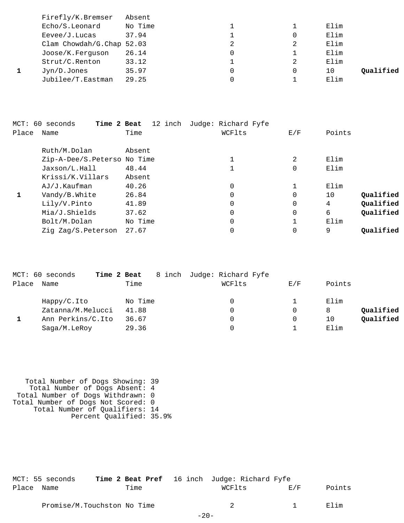| Firefly/K.Bremser         | Absent  |   |   |      |           |
|---------------------------|---------|---|---|------|-----------|
| Echo/S.Leonard            | No Time |   |   | Elim |           |
| Eevee/J.Lucas             | 37.94   |   | 0 | Elim |           |
| Clam Chowdah/G.Chap 52.03 |         | 2 | 2 | Elim |           |
| Joose/K.Ferquson          | 26.14   | 0 |   | Elim |           |
| Strut/C.Renton            | 33.12   |   | 2 | Elim |           |
| Jyn/D.Jones               | 35.97   | 0 | 0 | 10   | Oualified |
| Jubilee/T.Eastman         | 29.25   |   |   | Elim |           |

| Place | Time 2 Beat<br>MCT: 60 seconds<br>Name | Time    | 12 inch Judge: Richard Fyfe<br>WCFlts | E/F      | Points          |
|-------|----------------------------------------|---------|---------------------------------------|----------|-----------------|
|       | Ruth/M.Dolan                           | Absent  |                                       |          |                 |
|       | Zip-A-Dee/S.Peterso No Time            |         | 1                                     | 2        | Elim            |
|       | Jaxson/L.Hall                          | 48.44   | 1                                     | 0        | Elim            |
|       | Krissi/K.Villars                       | Absent  |                                       |          |                 |
|       | AJ/J.Kaufman                           | 40.26   | 0                                     |          | Elim            |
| 1     | Vandy/B.White                          | 26.84   | 0                                     | $\Omega$ | Qualified<br>10 |
|       | Lily/V.Pinto                           | 41.89   | 0                                     | 0        | Qualified<br>4  |
|       | Mia/J.Shields                          | 37.62   | 0                                     | 0        | Qualified<br>6  |
|       | Bolt/M.Dolan                           | No Time | 0                                     |          | Elim            |
|       | Zig Zag/S.Peterson                     | 27.67   |                                       | 0        | 9<br>Oualified  |

|       | MCT: 60 seconds   | Time 2 Beat | 8 inch Judge: Richard Fyfe |     |                 |
|-------|-------------------|-------------|----------------------------|-----|-----------------|
| Place | Name              | Time        | WCFlts                     | E/F | Points          |
|       | Happy/C.Ito       | No Time     | 0                          |     | Elim            |
|       | Zatanna/M.Melucci | 41.88       | 0                          |     | Qualified<br>8  |
|       | Ann Perkins/C.Ito | 36.67       |                            |     | Oualified<br>10 |
|       | Saga/M.LeRoy      | 29.36       |                            |     | Elim            |

 Total Number of Dogs Showing: 39 Total Number of Dogs Absent: 4 Total Number of Dogs Withdrawn: 0 Total Number of Dogs Not Scored: 0 Total Number of Qualifiers: 14 Percent Qualified: 35.9%

|            | MCT: 55 seconds | <b>Time 2 Beat Pref</b> 16 inch Judge: Richard Fyfe |        |     |        |
|------------|-----------------|-----------------------------------------------------|--------|-----|--------|
| Place Name |                 | Time                                                | WCFlts | F/F | Points |
|            |                 | Promise/M.Touchston No Time                         |        |     | Elim   |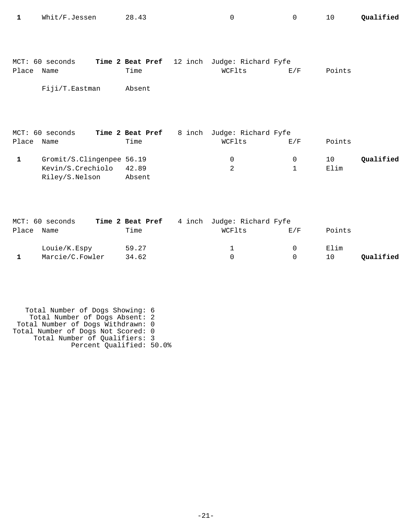| 1     | Whit/F.Jessen                                                    | 28.43                                      | 0                                    | 0      | 10         | Qualified |
|-------|------------------------------------------------------------------|--------------------------------------------|--------------------------------------|--------|------------|-----------|
| Place | MCT: 60 seconds<br>Name<br>Fiji/T.Eastman                        | Time 2 Beat Pref 12 inch<br>Time<br>Absent | Judge: Richard Fyfe<br>WCFlts        | E/F    | Points     |           |
| Place | MCT: 60 seconds<br>Name                                          | Time 2 Beat Pref<br>8 inch<br>Time         | Judge: Richard Fyfe<br>WCFlts        | E/F    | Points     |           |
| 1     | Gromit/S.Clingenpee 56.19<br>Kevin/S.Crechiolo<br>Riley/S.Nelson | 42.89<br>Absent                            | 0<br>$\overline{2}$                  | 0<br>1 | 10<br>Elim | Qualified |
| Place | MCT: 60 seconds<br>Name                                          | Time 2 Beat Pref<br>Time                   | 4 inch Judge: Richard Fyfe<br>WCFlts | E/F    | Points     |           |

| Place | Name            | Time  | WCFlts | E/F | Points    |
|-------|-----------------|-------|--------|-----|-----------|
|       | Louie/K.Espy    | 59.27 |        |     | Elim      |
|       | Marcie/C.Fowler | 34.62 |        |     | Qualified |

 Total Number of Dogs Showing: 6 Total Number of Dogs Absent: 2 Total Number of Dogs Withdrawn: 0 Total Number of Dogs Not Scored: 0 Total Number of Qualifiers: 3 Percent Qualified: 50.0%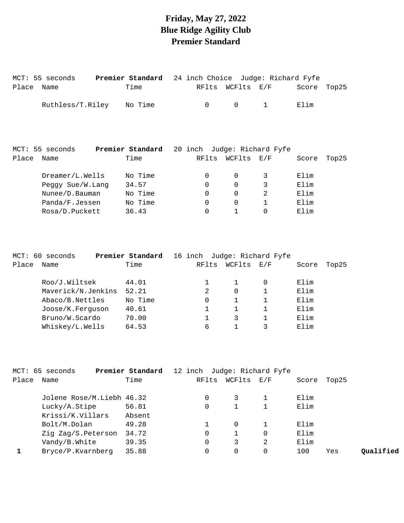## **Friday, May 27, 2022 Blue Ridge Agility Club Premier Standard**

| Place | MCT: 55 seconds<br>Name | Premier Standard<br>Time | 24 inch Choice Judge: Richard Fyfe<br>RFlts | WCFlts E/F |              | Score | Top25 |
|-------|-------------------------|--------------------------|---------------------------------------------|------------|--------------|-------|-------|
|       | Ruthless/T.Riley        | No Time                  | $\Omega$                                    | 0          | $\mathbf{1}$ | Elim  |       |
|       |                         |                          |                                             |            |              |       |       |
|       | MCT: 55 seconds         | Premier Standard         | 20 inch Judge: Richard Fyfe                 |            |              |       |       |
| Place | Name                    | Time                     | RFlts                                       | WCFlts E/F |              | Score | Top25 |

Rosa/D.Puckett 36.43 0 1 0 Elim

| $MCT$ : | 60 seconds         | Premier Standard |       |          | 16 inch Judge: Richard Fyfe |       |       |
|---------|--------------------|------------------|-------|----------|-----------------------------|-------|-------|
| Place   | Name               | Time             | RFlts | WCFlts   | $\rm E$ / $\rm F$           | Score | Top25 |
|         | Roo/J.Wiltsek      | 44.01            |       |          |                             | Elim  |       |
|         | Maverick/N.Jenkins | 52.21            | 2     | $\Omega$ |                             | Elim  |       |
|         | Abaco/B.Nettles    | No Time          | 0     |          |                             | Elim  |       |
|         | Joose/K.Ferguson   | 40.61            |       |          |                             | Elim  |       |
|         | Bruno/W.Scardo     | 70.00            |       | 3        |                             | Elim  |       |
|         | Whiskey/L.Wells    | 64.53            | 6     |          |                             | Elim  |       |

|       | MCT: 65 seconds           | Premier Standard |       |          | 12 inch Judge: Richard Fyfe |       |       |           |
|-------|---------------------------|------------------|-------|----------|-----------------------------|-------|-------|-----------|
| Place | Name                      | Time             | RFlts |          | WCFlts E/F                  | Score | Top25 |           |
|       | Jolene Rose/M.Liebh 46.32 |                  |       |          |                             | Elim  |       |           |
|       | Lucky/A.Stipe             | 56.81            |       |          |                             | Elim  |       |           |
|       | Krissi/K.Villars          | Absent           |       |          |                             |       |       |           |
|       | Bolt/M.Dolan              | 49.28            |       | $\Omega$ |                             | Elim  |       |           |
|       | Zig Zag/S.Peterson        | 34.72            |       |          | 0                           | Elim  |       |           |
|       | Vandy/B.White             | 39.35            |       | 3        | 2                           | Elim  |       |           |
|       | Bryce/P.Kvarnberg         | 35.88            |       |          | 0                           | 100   | Yes   | Oualified |
|       |                           |                  |       |          |                             |       |       |           |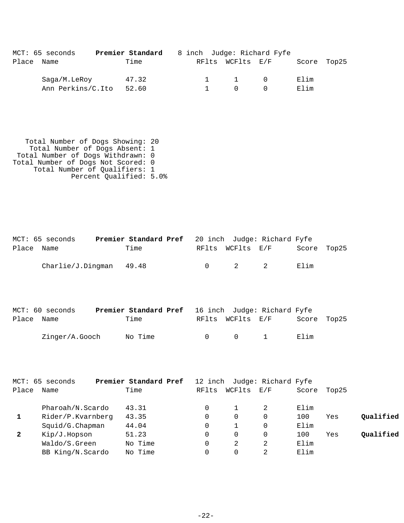|            | MCT: 65 seconds   | Premier Standard |  |                     | 8 inch Judge: Richard Fyfe |             |  |
|------------|-------------------|------------------|--|---------------------|----------------------------|-------------|--|
| Place Name |                   | Time             |  | RFlts WCFlts E/F    |                            | Score Top25 |  |
|            | Saga/M.LeRoy      | 47.32            |  | $1 \quad 1 \quad 0$ |                            | Elim        |  |
|            | Ann Perkins/C.Ito | 52.60            |  | $\cap$              |                            | Elim        |  |

 Total Number of Dogs Showing: 20 Total Number of Dogs Absent: 1 Total Number of Dogs Withdrawn: 0 Total Number of Dogs Not Scored: 0 Total Number of Qualifiers: 1 Percent Qualified: 5.0%

|            | MCT: 65 seconds           | <b>Premier Standard Pref</b> 20 inch Judge: Richard Fyfe |  |                       |             |  |
|------------|---------------------------|----------------------------------------------------------|--|-----------------------|-------------|--|
| Place Name |                           | Time                                                     |  | RFlts WCFlts E/F      | Score Top25 |  |
|            | $Charlie/J.Dingman$ 49.48 |                                                          |  | $0 \qquad 2 \qquad 2$ | Elim        |  |

|            | MCT: 60 seconds | <b>Premier Standard Pref</b> 16 inch Judge: Richard Fyfe |        |                  |                             |             |  |
|------------|-----------------|----------------------------------------------------------|--------|------------------|-----------------------------|-------------|--|
| Place Name |                 | Time                                                     |        | RFlts WCFlts E/F |                             | Score Top25 |  |
|            | Zinger/A.Gooch  | No Time                                                  | $\cap$ | $\bigcap$        | $\sim$ $\sim$ $\sim$ $\sim$ | Elim        |  |

|       | MCT: 65 seconds    | Premier Standard Pref | 12 inch  |        | Judge: Richard Fyfe                                       |       |       |           |
|-------|--------------------|-----------------------|----------|--------|-----------------------------------------------------------|-------|-------|-----------|
| Place | Name               | Time                  | RFlts    | WCFlts | $\mathop{\rm E{}}\nolimits$ / $\mathop{\rm F{}}\nolimits$ | Score | Top25 |           |
|       | Pharoah/N.Scardo   | 43.31                 |          |        | 2                                                         | Elim  |       |           |
|       | Rider/P.Kvarnberg  | 43.35                 | $\Omega$ | 0      |                                                           | 100   | Yes   | Qualified |
|       | $Squid/G.C$ hapman | 44.04                 |          |        |                                                           | Elim  |       |           |
| 2     | Kip/J.Hopson       | 51.23                 |          | 0      |                                                           | 100   | Yes   | Oualified |
|       | Waldo/S.Green      | No Time               | 0        | 2      |                                                           | Elim  |       |           |
|       | BB King/N.Scardo   | No Time               |          | 0      |                                                           | Elim  |       |           |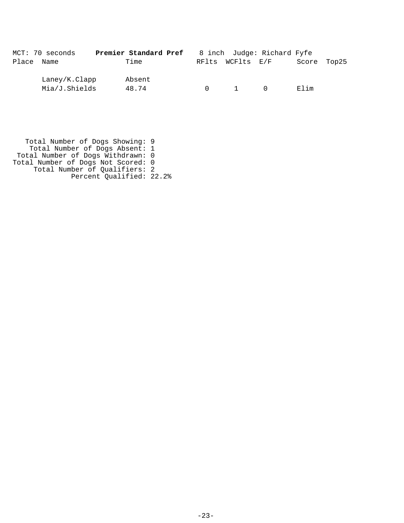|            | MCT: 70 seconds | Premier Standard Pref |        |                  | 8 inch Judge: Richard Fyfe |             |  |
|------------|-----------------|-----------------------|--------|------------------|----------------------------|-------------|--|
| Place Name |                 | Time                  |        | RFlts WCFlts E/F |                            | Score Top25 |  |
|            | Laney/K.Clapp   | Absent                |        |                  |                            |             |  |
|            | Mia/J.Shields   | 48.74                 | $\cap$ | $\overline{1}$   | $\cap$                     | Elim        |  |

 Total Number of Dogs Showing: 9 Total Number of Dogs Absent: 1 Total Number of Dogs Withdrawn: 0 Total Number of Dogs Not Scored: 0 Total Number of Qualifiers: 2 Percent Qualified: 22.2%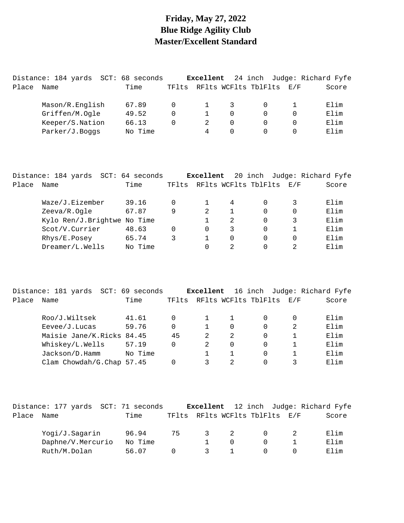#### **Friday, May 27, 2022 Blue Ridge Agility Club Master/Excellent Standard**

|       | Distance: 184 yards | SCT: 68 seconds |          | Excellent |          |                      |     | 24 inch Judge: Richard Fyfe |
|-------|---------------------|-----------------|----------|-----------|----------|----------------------|-----|-----------------------------|
| Place | Name                | Time            | TF1ts    |           |          | RFlts WCFlts TblFlts | E/F | Score                       |
|       | Mason/R.English     | 67.89           | $\Omega$ |           | 3        |                      |     | Elim                        |
|       | Griffen/M.Ogle      | 49.52           | 0        |           | $\Omega$ |                      |     | Elim                        |
|       | Keeper/S.Nation     | 66.13           | $\Omega$ |           | $\Omega$ | $\Omega$             | 0   | Elim                        |
|       | Parker/J.Boqqs      | No Time         |          | 4         | $\Omega$ |                      |     | Elim                        |

|       | Distance: 184 yards SCT: 64 seconds |         |       | Excellent     |                |                      |     | 20 inch Judge: Richard Fyfe |
|-------|-------------------------------------|---------|-------|---------------|----------------|----------------------|-----|-----------------------------|
| Place | Name                                | Time    | TFlts |               |                | RFlts WCFlts TblFlts | E/F | Score                       |
|       | Waze/J.Eizember                     | 39.16   |       |               | 4              |                      |     | Elim                        |
|       | Zeeva/R.Ogle                        | 67.87   | 9     | $\mathcal{L}$ |                | $\Omega$             | 0   | Elim                        |
|       | Kylo Ren/J.Brightwe No Time         |         |       |               | $\mathfrak{D}$ | $\Omega$             | 3   | Elim                        |
|       | Scot/V.Currier                      | 48.63   | 0     | $\Omega$      | 3              | $\Omega$             |     | Elim                        |
|       | Rhys/E.Posey                        | 65.74   | 3     |               | $\Omega$       | 0                    | 0   | Elim                        |
|       | Dreamer/L.Wells                     | No Time |       |               | 2              | 0                    | 2.  | Elim                        |

|       | Distance: 181 yards       | SCT: 69 seconds |       | Excellent     |                   |                          |   | 16 inch Judge: Richard Fyfe |
|-------|---------------------------|-----------------|-------|---------------|-------------------|--------------------------|---|-----------------------------|
| Place | Name                      | Time            | TFlts |               |                   | RFlts WCFlts TblFlts E/F |   | Score                       |
|       | Roo/J.Wiltsek             | 41.61           | 0     |               |                   |                          |   | Elim                        |
|       | $E$ evee/J. Lucas         | 59.76           | 0     |               | $\Omega$          | $\Omega$                 | 2 | Elim                        |
|       | Maisie Jane/K.Ricks 84.45 |                 | 45    | $\mathcal{L}$ | -2                | $\Omega$                 |   | Elim                        |
|       | Whiskey/L.Wells           | 57.19           | 0     | $\mathcal{L}$ | $\Omega$          | 0                        |   | Elim                        |
|       | Jackson/D.Hamm            | No Time         |       |               |                   |                          |   | Elim                        |
|       | Clam Chowdah/G.Chap 57.45 |                 |       |               | $\mathcal{D}_{1}$ |                          |   | $F.1$ im                    |

|       |                   |  | Distance: 177 yards SCT: 71 seconds |       |                         |          |                          | <b>Excellent</b> 12 inch Judge: Richard Fyfe |
|-------|-------------------|--|-------------------------------------|-------|-------------------------|----------|--------------------------|----------------------------------------------|
| Place | Name              |  | Time                                | TFlts |                         |          | RFlts WCFlts TblFlts E/F | Score                                        |
|       | Yogi/J.Sagarin    |  | 96.94                               | 75    | $\overline{\mathbf{3}}$ | 2        |                          | Elim                                         |
|       | Daphne/V.Mercurio |  | No Time                             |       |                         | $\Omega$ |                          | Elim                                         |
|       | Ruth/M.Dolan      |  | 56.07                               |       | $\mathcal{R}$           |          |                          | Elim                                         |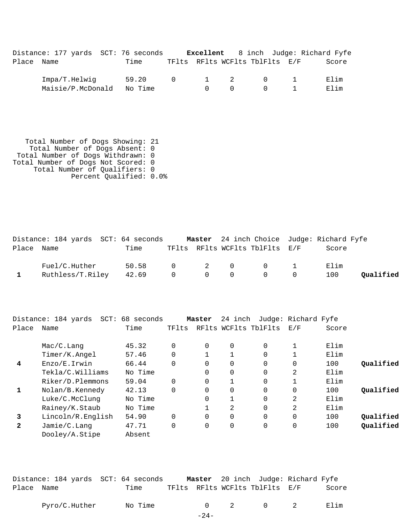|            | Distance: 177 yards SCT: 76 seconds |         |                |        |                                                  |                                | Excellent 8 inch Judge: Richard Fyfe |
|------------|-------------------------------------|---------|----------------|--------|--------------------------------------------------|--------------------------------|--------------------------------------|
| Place Name |                                     | Time    |                |        |                                                  | TFlts RFlts WCFlts TblFlts E/F | Score                                |
|            | Impa/T.Helwiq                       | 59.20   | $\overline{0}$ |        | $\begin{array}{ccc} & 1 & \quad & 2 \end{array}$ | $\bigcap$                      | Elim                                 |
|            | Maisie/P.McDonald                   | No Time |                | $\cap$ | $\bigcap$                                        | $\bigcap$                      | Elim                                 |

 Total Number of Dogs Showing: 21 Total Number of Dogs Absent: 0 Total Number of Dogs Withdrawn: 0 Total Number of Dogs Not Scored: 0 Total Number of Qualifiers: 0 Percent Qualified: 0.0%

|            | Distance: 184 yards SCT: 64 seconds |       |                |                                 |                                | Master 24 inch Choice Judge: Richard Fyfe |           |
|------------|-------------------------------------|-------|----------------|---------------------------------|--------------------------------|-------------------------------------------|-----------|
| Place Name |                                     | Time  |                |                                 | TFlts RFlts WCFlts TblFlts E/F | Score                                     |           |
|            | Fuel/C.Huther                       | 50.58 |                |                                 |                                | Elim                                      |           |
|            | Ruthless/T.Riley                    | 42.69 | $\overline{0}$ | $\begin{matrix}0&0\end{matrix}$ |                                | 100                                       | Oualified |

|                | Distance: 184 yards<br>SCT: | 68 seconds |          | Master   | 24 inch        |                      | Judge: Richard Fyfe |       |           |
|----------------|-----------------------------|------------|----------|----------|----------------|----------------------|---------------------|-------|-----------|
| Place          | Name                        | Time       | TFlts    |          |                | RFlts WCFlts TblFlts | E/F                 | Score |           |
|                | Mac/C.Lang                  | 45.32      | $\Omega$ | $\Omega$ | $\overline{0}$ | $\Omega$             |                     | Elim  |           |
|                | Timer/K.Angel               | 57.46      | $\Omega$ |          |                | 0                    |                     | Elim  |           |
| $\overline{4}$ | Enzo/E.Irwin                | 66.44      | $\Omega$ | $\Omega$ | $\Omega$       | $\Omega$             | $\Omega$            | 100   | Qualified |
|                | Tekla/C.Williams            | No Time    |          | 0        | $\overline{0}$ | $\Omega$             | 2                   | Elim  |           |
|                | Riker/D.Plemmons            | 59.04      | $\Omega$ | 0        |                | 0                    | 1                   | Elim  |           |
| $\mathbf{1}$   | Nolan/B.Kennedy             | 42.13      | $\Omega$ | $\Omega$ | $\overline{0}$ | $\Omega$             | $\Omega$            | 100   | Oualified |
|                | Luke/C.McClung              | No Time    |          | 0        |                | $\Omega$             | 2                   | Elim  |           |
|                | Rainey/K.Staub              | No Time    |          |          | 2              | $\Omega$             | $\overline{2}$      | Elim  |           |
| 3              | Lincoln/R.English           | 54.90      | $\Omega$ | $\Omega$ | $\Omega$       | $\Omega$             | $\Omega$            | 100   | Oualified |
| $\overline{2}$ | Jamie/C.Lang                | 47.71      | $\Omega$ | 0        | $\overline{0}$ | 0                    | 0                   | 100   | Qualified |
|                | Dooley/A.Stipe              | Absent     |          |          |                |                      |                     |       |           |

| Distance: 184 yards SCT: 64 seconds |      | Master 20 inch Judge: Richard Fyfe |  |       |
|-------------------------------------|------|------------------------------------|--|-------|
| Place Name                          | Time | TFlts RFlts WCFlts TblFlts E/F     |  | Score |

| $\sqrt{2}$<br>C.Huther<br>Pvro<br>⊥me<br>ΝC<br>_________ |  |  |  |  | ım<br>п. |
|----------------------------------------------------------|--|--|--|--|----------|
|----------------------------------------------------------|--|--|--|--|----------|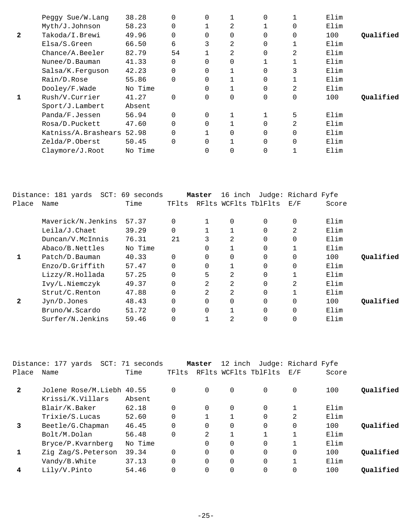|              | Peggy Sue/W. Lang   | 38.28   |          | $\Omega$ |          | 0 |             | Elim |           |
|--------------|---------------------|---------|----------|----------|----------|---|-------------|------|-----------|
|              | Myth/J.Johnson      | 58.23   | 0        |          | 2        |   | 0           | Elim |           |
| $\mathbf{2}$ | Takoda/I.Brewi      | 49.96   | $\Omega$ | $\Omega$ | 0        | 0 | $\mathbf 0$ | 100  | Oualified |
|              | $E$ lsa/S. $G$ reen | 66.50   | 6        | 3        | 2        | 0 |             | Elim |           |
|              | Chance/A.Beeler     | 82.79   | 54       |          | 2        | 0 | 2           | Elim |           |
|              | Nunee/D. Bauman     | 41.33   |          | $\Omega$ | 0        |   |             | Elim |           |
|              | Salsa/K.Ferguson    | 42.23   |          | $\Omega$ |          | 0 | 3           | Elim |           |
|              | Rain/D.Rose         | 55.86   | $\Omega$ | 0        |          | 0 |             | Elim |           |
|              | Dooley/F.Wade       | No Time |          | $\Omega$ |          | 0 | 2           | Elim |           |
|              | Rush/V.Currier      | 41.27   | $\Omega$ | $\Omega$ | $\Omega$ | 0 | $\mathbf 0$ | 100  | Oualified |
|              | Sport/J.Lambert     | Absent  |          |          |          |   |             |      |           |
|              | Panda/F.Jessen      | 56.94   | $\Omega$ | 0        |          |   | 5           | Elim |           |
|              | Rosa/D.Puckett      | 47.60   |          | $\Omega$ |          | O | 2           | Elim |           |
|              | Katniss/A.Brashears | 52.98   | $\Omega$ |          | 0        | 0 | 0           | Elim |           |
|              | Zelda/P.Oberst      | 50.45   | $\Omega$ | $\Omega$ |          | 0 | $\mathbf 0$ | Elim |           |
|              | Claymore/J.Root     | No Time |          | $\Omega$ | 0        | 0 |             | Elim |           |
|              |                     |         |          |          |          |   |             |      |           |

|       | Distance: 181 yards SCT: 69 seconds |         |          | Master   | 16 inch     |                      | Judge: Richard Fyfe |       |           |
|-------|-------------------------------------|---------|----------|----------|-------------|----------------------|---------------------|-------|-----------|
| Place | Name                                | Time    | TFlts    |          |             | RFlts WCFlts TblFlts | E/F                 | Score |           |
|       | Maverick/N.Jenkins                  | 57.37   | $\Omega$ |          | $\mathbf 0$ | $\Omega$             | $\Omega$            | Elim  |           |
|       | Leila/J.Chaet                       | 39.29   | 0        |          |             | 0                    | $\overline{2}$      | Elim  |           |
|       | Duncan/V.McInnis                    | 76.31   | 21       | 3        | 2           | 0                    | $\Omega$            | Elim  |           |
|       | Abaco/B.Nettles                     | No Time |          | 0        |             | $\Omega$             |                     | Elim  |           |
|       | Patch/D.Bauman                      | 40.33   | $\Omega$ |          | $\mathbf 0$ | 0                    | $\Omega$            | 100   | Qualified |
|       | Enzo/D.Griffith                     | 57.47   | 0        | $\Omega$ |             | $\Omega$             | $\Omega$            | Elim  |           |
|       | Lizzy/R.Hollada                     | 57.25   | 0        | 5        | 2           | $\Omega$             | $\mathbf 1$         | Elim  |           |
|       | Ivy/L.Niemczyk                      | 49.37   | 0        | 2        | 2           | $\Omega$             | $\overline{2}$      | Elim  |           |
|       | Strut/C.Renton                      | 47.88   | 0        | 2        | 2           | $\Omega$             |                     | Elim  |           |
| 2     | Jyn/D.Jones                         | 48.43   | 0        | $\Omega$ | $\Omega$    | $\Omega$             | $\Omega$            | 100   | Oualified |
|       | Bruno/W.Scardo                      | 51.72   | 0        | $\Omega$ |             | 0                    | $\mathbf 0$         | Elim  |           |
|       | Surfer/N.Jenkins                    | 59.46   | 0        |          | 2           | 0                    | $\Omega$            | Elim  |           |

|                | Distance: 177 yards SCT: 71 seconds |         |       | Master   | 12 inch              |          | Judge: Richard Fyfe |       |           |
|----------------|-------------------------------------|---------|-------|----------|----------------------|----------|---------------------|-------|-----------|
| Place          | Name                                | Time    | TFlts |          | RFlts WCFlts TblFlts |          | E/F                 | Score |           |
| $\overline{2}$ | Jolene Rose/M.Liebh 40.55           |         |       | $\Omega$ | 0                    | $\Omega$ | 0                   | 100   | Qualified |
|                | Krissi/K.Villars                    | Absent  |       |          |                      |          |                     |       |           |
|                | Blair/K.Baker                       | 62.18   |       | $\Omega$ | 0                    | $\Omega$ |                     | Elim  |           |
|                | Trixie/S.Lucas                      | 52.60   |       |          |                      | 0        | 2                   | Elim  |           |
| 3              | Beetle/G.Chapman                    | 46.45   |       | $\Omega$ | $\Omega$             | 0        | $\mathbf 0$         | 100   | Qualified |
|                | Bolt/M.Dolan                        | 56.48   |       | 2        | 1                    |          |                     | Elim  |           |
|                | Bryce/P.Kvarnberg                   | No Time |       | $\Omega$ | $\Omega$             | 0        |                     | Elim  |           |
|                | Zig Zag/S. Peterson                 | 39.34   |       | $\Omega$ | $\Omega$             | $\Omega$ | $\Omega$            | 100   | Oualified |
|                | Vandy/B.White                       | 37.13   |       | $\Omega$ | $\Omega$             | 0        |                     | Elim  |           |
| 4              | Lily/V.Pinto                        | 54.46   |       | $\Omega$ | 0                    | 0        | 0                   | 100   | Oualified |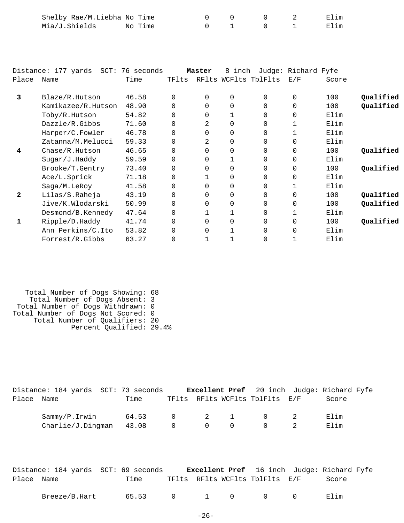| Shelby Rae/M.Liebha No Time |         |  |  | Elim |
|-----------------------------|---------|--|--|------|
| Mia/J.Shields               | No Time |  |  | Elim |

|              | Distance: 177 yards SCT: | 76 seconds |          | Master   | 8 inch   |                      | Judge: Richard Fyfe |       |           |
|--------------|--------------------------|------------|----------|----------|----------|----------------------|---------------------|-------|-----------|
| Place        | Name                     | Time       | TFlts    |          |          | RFlts WCFlts TblFlts | E/F                 | Score |           |
| 3            | Blaze/R.Hutson           | 46.58      | $\Omega$ | $\Omega$ | $\Omega$ | $\Omega$             | $\Omega$            | 100   | Qualified |
|              | Kamikazee/R.Hutson       | 48.90      | $\Omega$ | $\Omega$ | $\Omega$ | $\Omega$             | $\Omega$            | 100   | Qualified |
|              | Toby/R.Hutson            | 54.82      | $\Omega$ | $\Omega$ |          | $\Omega$             | $\Omega$            | Elim  |           |
|              | Dazzle/R.Gibbs           | 71.60      | $\Omega$ | 2.       | $\Omega$ | $\Omega$             |                     | Elim  |           |
|              | Harper/C.Fowler          | 46.78      | 0        | $\Omega$ | $\Omega$ | $\Omega$             |                     | Elim  |           |
|              | Zatanna/M.Melucci        | 59.33      | $\Omega$ | 2        | $\Omega$ | $\Omega$             | $\Omega$            | Elim  |           |
| 4            | Chase/R.Hutson           | 46.65      | $\Omega$ | $\Omega$ | $\Omega$ | $\Omega$             | $\Omega$            | 100   | Qualified |
|              | Sugar/J.Haddy            | 59.59      | 0        | $\Omega$ |          | $\Omega$             | 0                   | Elim  |           |
|              | Brooke/T.Gentry          | 73.40      | 0        | $\Omega$ | 0        | $\Omega$             | $\Omega$            | 100   | Qualified |
|              | Ace/L.Sprick             | 71.18      | 0        |          | $\Omega$ | $\Omega$             | $\Omega$            | Elim  |           |
|              | Saga/M.LeRoy             | 41.58      | 0        | $\Omega$ | $\Omega$ | $\Omega$             |                     | Elim  |           |
| $\mathbf{2}$ | Lilas/S.Raheja           | 43.19      | $\Omega$ | 0        | 0        | $\Omega$             | 0                   | 100   | Qualified |
|              | Jive/K.Wlodarski         | 50.99      | $\Omega$ | $\Omega$ | 0        | $\Omega$             | $\Omega$            | 100   | Qualified |
|              | Desmond/B.Kennedy        | 47.64      | $\Omega$ |          |          | 0                    |                     | Elim  |           |
| 1            | Ripple/D.Haddy           | 41.74      | $\Omega$ | $\Omega$ | $\Omega$ | $\Omega$             | $\Omega$            | 100   | Qualified |
|              | Ann Perkins/C.Ito        | 53.82      | 0        | $\Omega$ |          | $\Omega$             | 0                   | Elim  |           |
|              | Forrest/R.Gibbs          | 63.27      | 0        |          |          |                      |                     | Elim  |           |

 Total Number of Dogs Showing: 68 Total Number of Dogs Absent: 3 Total Number of Dogs Withdrawn: 0 Total Number of Dogs Not Scored: 0 Total Number of Qualifiers: 20 Percent Qualified: 29.4%

|            | Distance: 184 yards SCT: 73 seconds |      |                                                      |                                     |                                        | Excellent Pref 20 inch Judge: Richard Fyfe |  |
|------------|-------------------------------------|------|------------------------------------------------------|-------------------------------------|----------------------------------------|--------------------------------------------|--|
| Place Name |                                     | Time |                                                      |                                     | TFlts RFlts WCFlts TblFlts E/F         | Score                                      |  |
|            | Sammy/P.Irwin 64.53                 |      |                                                      | $0 \qquad \qquad 2 \qquad \qquad 1$ | $\begin{array}{ccc} 0 & 2 \end{array}$ | Elim                                       |  |
|            | $Charlie/J.Dingman$ 43.08           |      | $\begin{array}{ccccccc}\n0 & & 0 & & 0\n\end{array}$ |                                     | $\Omega$                               | Elim                                       |  |

|            |               | Distance: 184 yards SCT: 69 seconds |                                |  | <b>Excellent Pref</b> 16 inch Judge: Richard Fyfe |
|------------|---------------|-------------------------------------|--------------------------------|--|---------------------------------------------------|
| Place Name |               | Time                                | TFlts RFlts WCFlts TblFlts E/F |  | Score                                             |
|            | Breeze/B.Hart |                                     | 65.53 0 1 0 0 0                |  | Elim                                              |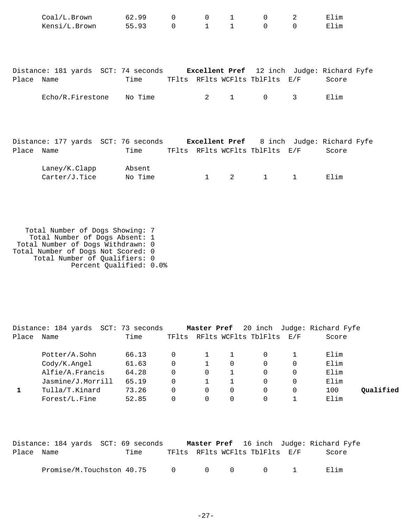|            | Coal/L.Brown<br>Kensi/L.Brown 55.93                                            | 62.99             | 0<br>$0 \qquad \qquad$ | $\mathsf{O}$                   | $1 \quad \blacksquare$<br>$1 \quad 1$ | $\mathbf 0$<br>$\Omega$        | $\overline{2}$<br>$\Omega$ | Elim<br>Elim |
|------------|--------------------------------------------------------------------------------|-------------------|------------------------|--------------------------------|---------------------------------------|--------------------------------|----------------------------|--------------|
|            |                                                                                |                   |                        |                                |                                       |                                |                            |              |
|            |                                                                                |                   |                        |                                |                                       |                                |                            |              |
| Place Name | Distance: 181 yards SCT: 74 seconds Excellent Pref 12 inch Judge: Richard Fyfe | Time              |                        |                                |                                       | TFlts RFlts WCFlts TblFlts E/F |                            | Score        |
|            | Echo/R.Firestone No Time                                                       |                   |                        | $2 \left( \frac{1}{2} \right)$ | $\mathbf{1}$                          | $\mathbf 0$                    | 3                          | Elim         |
|            |                                                                                |                   |                        |                                |                                       |                                |                            |              |
|            |                                                                                |                   |                        |                                |                                       |                                |                            |              |
|            | Distance: 177 yards SCT: 76 seconds Excellent Pref 8 inch Judge: Richard Fyfe  |                   |                        |                                |                                       |                                |                            |              |
| Place Name |                                                                                | Time              |                        |                                |                                       | TFlts RFlts WCFlts TblFlts E/F |                            | Score        |
|            | Laney/K.Clapp<br>Carter/J.Tice                                                 | Absent<br>No Time |                        | $\mathbf{1}$                   | $2 \left( \frac{1}{2} \right)$        | $\mathbf{1}$                   | $\mathbf{1}$               | Elim         |
|            |                                                                                |                   |                        |                                |                                       |                                |                            |              |
|            |                                                                                |                   |                        |                                |                                       |                                |                            |              |

 Total Number of Dogs Showing: 7 Total Number of Dogs Absent: 1 Total Number of Dogs Withdrawn: 0 Total Number of Dogs Not Scored: 0 Total Number of Qualifiers: 0 Percent Qualified: 0.0%

|       | Distance: 184 yards | SCT: 73 seconds |       | Master Pref |   |                      |     | 20 inch Judge: Richard Fyfe |           |
|-------|---------------------|-----------------|-------|-------------|---|----------------------|-----|-----------------------------|-----------|
| Place | Name                | Time            | TFlts |             |   | RFlts WCFlts TblFlts | E/F | Score                       |           |
|       | Potter/A.Sohn       | 66.13           |       |             |   |                      |     | Elim                        |           |
|       | Cody/K.Angel        | 61.63           | 0     |             | 0 |                      |     | Elim                        |           |
|       | Alfie/A.Francis     | 64.28           | 0     | 0           |   |                      |     | Elim                        |           |
|       | Jasmine/J.Morrill   | 65.19           | 0     |             |   |                      |     | Elim                        |           |
|       | Tulla/T.Kinard      | 73.26           | 0     | 0           | 0 |                      | 0   | 100                         | Oualified |
|       | Forest/L.Fine       | 52.85           |       |             | 0 |                      |     | Elim                        |           |

|            | Distance: 184 yards SCT: 69 seconds |  |                                         |                                | <b>Master Pref</b> 16 inch Judge: Richard Fyfe |
|------------|-------------------------------------|--|-----------------------------------------|--------------------------------|------------------------------------------------|
| Place Name | Time                                |  |                                         | TFlts RFlts WCFlts TblFlts E/F | Score                                          |
|            | Promise/M.Touchston 40.75 0         |  | $\begin{matrix} 0 & 0 & 0 \end{matrix}$ |                                | Elim                                           |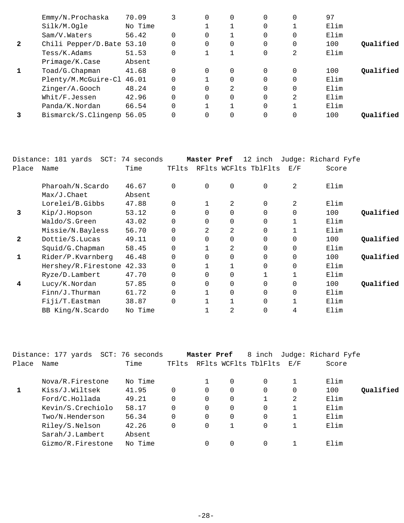|              | Emmy/N.Prochaska          | 70.09   |          | $\Omega$ | 0              | $\Omega$ | 0              | 97   |           |
|--------------|---------------------------|---------|----------|----------|----------------|----------|----------------|------|-----------|
|              | Silk/M.Oqle               | No Time |          |          |                | 0        |                | Elim |           |
|              | Sam/V.Waters              | 56.42   | $\Omega$ | 0        |                | 0        | $\Omega$       | Elim |           |
| $\mathbf{2}$ | Chili Pepper/D.Bate 53.10 |         | $\Omega$ | $\Omega$ | 0              | $\Omega$ | $\Omega$       | 100  | Oualified |
|              | Tess/K.Adams              | 51.53   | $\Omega$ |          |                | 0        | 2              | Elim |           |
|              | Primage/K.Case            | Absent  |          |          |                |          |                |      |           |
|              | Toad/G.Chapman            | 41.68   | $\Omega$ | $\Omega$ | 0              | $\Omega$ | $\Omega$       | 100  | Oualified |
|              | Plenty/M.McGuire-Cl 46.01 |         | $\Omega$ |          | 0              | $\Omega$ | $\Omega$       | Elim |           |
|              | Zinger/A.Gooch            | 48.24   | $\Omega$ | $\Omega$ | $\mathfrak{D}$ | $\Omega$ | $\Omega$       | Elim |           |
|              | Whit/F.Jessen             | 42.96   | $\Omega$ | $\Omega$ | 0              | $\Omega$ | $\overline{2}$ | Elim |           |
|              | Panda/K.Nordan            | 66.54   | $\Omega$ |          |                | $\Omega$ |                | Elim |           |
|              | Bismarck/S.Clingenp       | 56.05   | $\Omega$ | $\Omega$ | 0              | $\Omega$ | $\Omega$       | 100  | Oualified |

|              | Distance: 181 yards | SCT: 74 seconds |          | Master Pref |             | 12 inch              |          | Judge: Richard Fyfe |           |
|--------------|---------------------|-----------------|----------|-------------|-------------|----------------------|----------|---------------------|-----------|
| Place        | Name                | Time            | TFlts    |             |             | RFlts WCFlts TblFlts | E/F      | Score               |           |
|              | Pharoah/N.Scardo    | 46.67           | $\Omega$ | $\Omega$    | $\mathbf 0$ | $\Omega$             | 2        | Elim                |           |
|              | $Max/J$ . Chaet     | Absent          |          |             |             |                      |          |                     |           |
|              | Lorelei/B.Gibbs     | 47.88           | 0        |             | 2           |                      | 2        | Elim                |           |
| 3            | Kip/J.Hopson        | 53.12           | 0        | 0           | $\Omega$    |                      | $\Omega$ | 100                 | Qualified |
|              | Waldo/S.Green       | 43.02           | 0        | $\Omega$    | $\Omega$    |                      |          | Elim                |           |
|              | Missie/N.Bayless    | 56.70           | 0        | 2           | 2           |                      |          | Elim                |           |
| $\mathbf{2}$ | Dottie/S.Lucas      | 49.11           | 0        | 0           | 0           |                      | 0        | 100                 | Qualified |
|              | Squid/G. Chapman    | 58.45           | 0        |             | 2           |                      | $\Omega$ | Elim                |           |
| 1            | Rider/P.Kvarnberg   | 46.48           | 0        | $\Omega$    | $\Omega$    | $\Omega$             | $\Omega$ | 100                 | Qualified |
|              | Hershey/R.Firestone | 42.33           | 0        |             | 1           |                      | $\Omega$ | Elim                |           |
|              | Ryze/D.Lambert      | 47.70           | 0        | $\Omega$    | $\Omega$    |                      |          | Elim                |           |
| 4            | Lucy/K.Nordan       | 57.85           | 0        | $\Omega$    | $\Omega$    |                      | $\Omega$ | 100                 | Qualified |
|              | $Finn/J$ . Thurman  | 61.72           | 0        |             | $\Omega$    |                      | 0        | Elim                |           |
|              | Fiji/T.Eastman      | 38.87           | $\Omega$ |             |             |                      |          | Elim                |           |
|              | BB King/N.Scardo    | No Time         |          |             | 2           |                      |          | Elim                |           |

|       | Distance: 177 yards | SCT: 76 seconds |          | Master Pref |   | 8 inch                   |   | Judge: Richard Fyfe |           |
|-------|---------------------|-----------------|----------|-------------|---|--------------------------|---|---------------------|-----------|
| Place | Name                | Time            | TFlts    |             |   | RFlts WCFlts TblFlts E/F |   | Score               |           |
|       | Nova/R.Firestone    | No Time         |          |             | 0 | $\Omega$                 |   | Elim                |           |
|       | Kiss/J.Wiltsek      | 41.95           | $\Omega$ | $\Omega$    | 0 | 0                        | 0 | 100                 | Qualified |
|       | Ford/C.Hollada      | 49.21           | $\Omega$ | $\Omega$    | 0 |                          | 2 | Elim                |           |
|       | Kevin/S.Crechiolo   | 58.17           | $\Omega$ | $\Omega$    | 0 | 0                        |   | Elim                |           |
|       | Two/N.Henderson     | 56.34           | $\Omega$ | $\Omega$    | 0 | $\Omega$                 |   | Elim                |           |
|       | Riley/S.Nelson      | 42.26           | $\Omega$ | $\Omega$    |   | $\Omega$                 |   | Elim                |           |
|       | Sarah/J.Lambert     | Absent          |          |             |   |                          |   |                     |           |
|       | Gizmo/R.Firestone   | No Time         |          |             | 0 | $\Omega$                 |   | Elim                |           |
|       |                     |                 |          |             |   |                          |   |                     |           |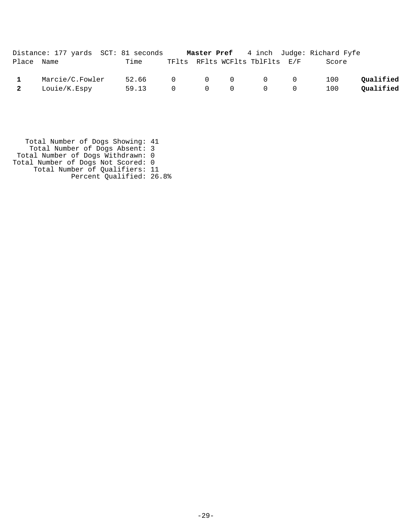|                         | Distance: 177 yards SCT: 81 seconds |                   |  |                                                                 | <b>Master Pref</b> 4 inch Judge: Richard Fyfe |           |
|-------------------------|-------------------------------------|-------------------|--|-----------------------------------------------------------------|-----------------------------------------------|-----------|
| Place Name              |                                     | Time              |  | TFlts RFlts WCFlts TblFlts E/F                                  | Score                                         |           |
|                         | Marcie/C.Fowler                     | 52.66 0 0 0 0 0 0 |  |                                                                 | 100                                           | Qualified |
| $\overline{\mathbf{2}}$ | Louie/K.Espy                        | 59.13             |  | $0\qquad \qquad 0\qquad \qquad 0\qquad \qquad 0\qquad \qquad 0$ | 100                                           | Qualified |

 Total Number of Dogs Showing: 41 Total Number of Dogs Absent: 3 Total Number of Dogs Withdrawn: 0 Total Number of Dogs Not Scored: 0 Total Number of Qualifiers: 11 Percent Qualified: 26.8%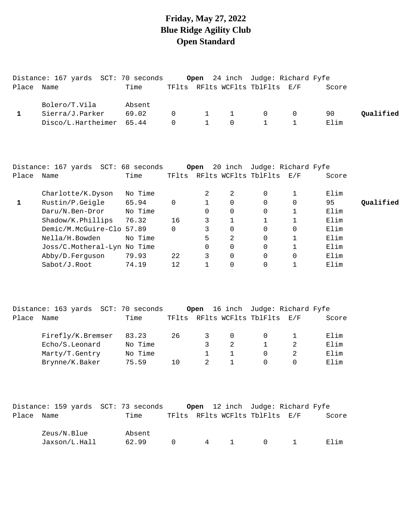#### **Friday, May 27, 2022 Blue Ridge Agility Club Open Standard**

|            | Distance: 167 yards SCT: 70 seconds |        |                       |                                          |                | <b>Open</b> 24 inch Judge: Richard Fyfe |            |       |           |
|------------|-------------------------------------|--------|-----------------------|------------------------------------------|----------------|-----------------------------------------|------------|-------|-----------|
| Place Name |                                     | Time   |                       |                                          |                | TFlts RFlts WCFlts TblFlts E/F          |            | Score |           |
|            | Bolero/T.Vila                       | Absent |                       |                                          |                |                                         |            |       |           |
|            | Sierra/J.Parker                     | 69.02  | $\Omega$ and $\Omega$ |                                          |                | $1 \quad 1 \quad 0$                     | $\bigcirc$ | 90    | Oualified |
|            | Disco/L.Hartheimer 65.44            |        |                       | $\begin{array}{ccc} 0 & & 1 \end{array}$ | $\overline{0}$ |                                         |            | Elim  |           |

|       | Distance: 167 yards SCT: 68 seconds |         |       | Open |          |                      | 20 inch Judge: Richard Fyfe |       |           |
|-------|-------------------------------------|---------|-------|------|----------|----------------------|-----------------------------|-------|-----------|
| Place | Name                                | Time    | TFlts |      |          | RFlts WCFlts TblFlts | $\rm E$ / $\rm F$           | Score |           |
|       | Charlotte/K.Dyson                   | No Time |       |      | 2        | 0                    |                             | Elim  |           |
|       | Rustin/P.Geigle                     | 65.94   | 0     |      | $\Omega$ | 0                    | 0                           | 95    | Oualified |
|       | Daru/N.Ben-Dror                     | No Time |       | 0    | $\Omega$ | $\Omega$             |                             | Elim  |           |
|       | $shadow/K.$ Phillips                | 76.32   | 16    | 3    |          |                      |                             | Elim  |           |
|       | Demic/M.McGuire-Clo 57.89           |         | 0     | 3    | $\Omega$ | $\Omega$             | $\Omega$                    | Elim  |           |
|       | Nella/H.Bowden                      | No Time |       | 5    | 2        | $\Omega$             |                             | Elim  |           |
|       | Joss/C.Motheral-Lyn No Time         |         |       | 0    | $\Omega$ | $\Omega$             |                             | Elim  |           |
|       | Abby/D.Ferguson                     | 79.93   | 22    | 3    | $\Omega$ | $\Omega$             | 0                           | Elim  |           |
|       | Sabot/J.Root                        | 74.19   | 12    |      |          | 0                    |                             | Elim  |           |

|       | Distance: 163 yards SCT: 70 seconds |         |       | Open |          |                          | 16 inch Judge: Richard Fyfe |       |
|-------|-------------------------------------|---------|-------|------|----------|--------------------------|-----------------------------|-------|
| Place | Name                                | Time    | TFlts |      |          | RFlts WCFlts TblFlts E/F |                             | Score |
|       | Firefly/K.Bremser                   | 83.23   | 26    |      | $\Omega$ |                          |                             | Elim  |
|       | Echo/S.Leonard                      | No Time |       |      |          |                          |                             | Elim  |
|       | Marty/T.Gentry                      | No Time |       |      |          |                          |                             | Elim  |
|       | Brynne/K.Baker                      | 75.59   | 1 O   |      |          |                          |                             | Elim  |

|            | Distance: 159 yards SCT: 73 seconds |        |        |     |                                | <b>Open</b> 12 inch Judge: Richard Fyfe |       |
|------------|-------------------------------------|--------|--------|-----|--------------------------------|-----------------------------------------|-------|
| Place Name |                                     | Time   |        |     | TFlts RFlts WCFlts TblFlts E/F |                                         | Score |
|            |                                     |        |        |     |                                |                                         |       |
|            | Zeus/N.Blue                         | Absent |        |     |                                |                                         |       |
|            | Jaxson/L.Hall                       | 62.99  | $\cap$ | 4 1 | $\sim$ 0 1                     |                                         | Elim  |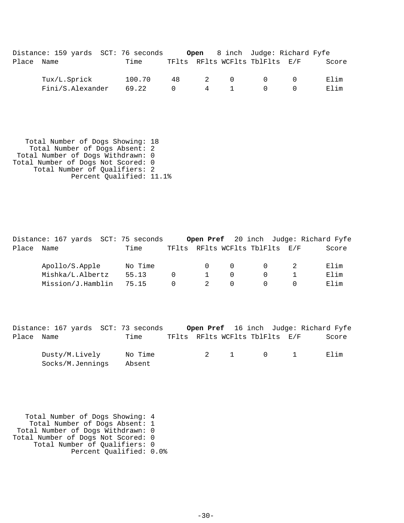|       | Distance: 159 yards SCT: 76 seconds |        |          |   |     |                                | <b>Open</b> 8 inch Judge: Richard Fyfe |       |
|-------|-------------------------------------|--------|----------|---|-----|--------------------------------|----------------------------------------|-------|
| Place | Name                                | Time   |          |   |     | TFlts RFlts WCFlts TblFlts E/F |                                        | Score |
|       | Tux/L.Sprick                        | 100.70 | 48       |   | 2 0 | $\bigcap$                      | $\cap$                                 | Elim  |
|       | Fini/S.Alexander                    | 69.22  | $\Omega$ | 4 |     | $\Omega$                       |                                        | Elim  |

 Total Number of Dogs Showing: 18 Total Number of Dogs Absent: 2 Total Number of Dogs Withdrawn: 0 Total Number of Dogs Not Scored: 0 Total Number of Qualifiers: 2 Percent Qualified: 11.1%

Distance: 167 yards SCT: 75 seconds **Open Pref** 20 inch Judge: Richard Fyfe Place Name Time TFlts RFlts WCFlts TblFlts E/F Score Apollo/S.Apple No Time 0 0 0 0 2 Elim Mishka/L.Albertz 55.13 0 1 0 0 1 Elim Mission/J.Hamblin 75.15 0 2 0 0 0 Elim

Distance: 167 yards SCT: 73 seconds **Open Pref** 16 inch Judge: Richard Fyfe Place Name Time TFlts RFlts WCFlts TblFlts E/F Score Dusty/M.Lively No Time  $2 \t 1 \t 0 \t 1$  Elim

 Total Number of Dogs Showing: 4 Total Number of Dogs Absent: 1 Total Number of Dogs Withdrawn: 0 Total Number of Dogs Not Scored: 0 Total Number of Qualifiers: 0 Percent Qualified: 0.0%

Socks/M.Jennings Absent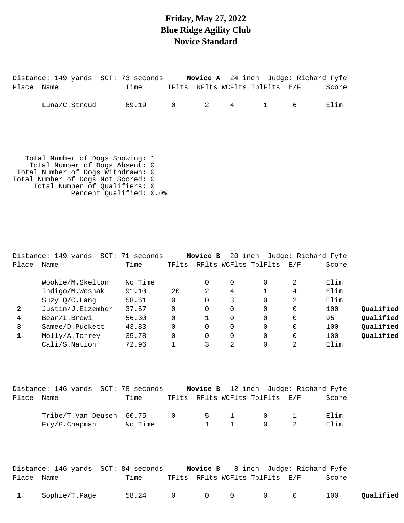## **Friday, May 27, 2022 Blue Ridge Agility Club Novice Standard**

|       | Distance: 149 yards SCT: 73 seconds Novice A 24 inch Judge: Richard Fyfe                                                                                                                                 |                                     |          |             |             |              |               |       |  |  |  |  |
|-------|----------------------------------------------------------------------------------------------------------------------------------------------------------------------------------------------------------|-------------------------------------|----------|-------------|-------------|--------------|---------------|-------|--|--|--|--|
| Place | Name                                                                                                                                                                                                     | Time TFlts RFlts WCFlts TblFlts E/F |          |             |             |              |               | Score |  |  |  |  |
|       | Luna/C.Stroud                                                                                                                                                                                            | 69.19                               | $\Omega$ | $2^{\circ}$ | $4 \quad$   | $\mathbf{1}$ | 6             | Elim  |  |  |  |  |
|       | Total Number of Dogs Showing: 1<br>Total Number of Dogs Absent: 0<br>Total Number of Dogs Withdrawn: 0<br>Total Number of Dogs Not Scored: 0<br>Total Number of Qualifiers: 0<br>Percent Qualified: 0.0% |                                     |          |             |             |              |               |       |  |  |  |  |
| Place | Distance: 149 yards SCT: 71 seconds Novice B 20 inch Judge: Richard Fyfe<br>Name                                                                                                                         | Time TFlts RFlts WCFlts TblFlts E/F |          |             |             |              |               | Score |  |  |  |  |
|       | Wookie/M.Skelton                                                                                                                                                                                         | No Time                             |          | $\Omega$    | $\mathbf 0$ | $\mathbf 0$  | 2             | Elim  |  |  |  |  |
|       | Indigo/M.Wosnak                                                                                                                                                                                          | 91.10                               | 20       | 2           | 4           | 1            | 4             | Elim  |  |  |  |  |
|       | $Suzv$ $O/C$ Lang                                                                                                                                                                                        | 58.61                               | $\Omega$ | $\Omega$    | 3           | $\Omega$     | $\mathcal{L}$ | Elim  |  |  |  |  |

| Suzy $Q/C$ . Lang | 58.61 |  |  | Elim |           |
|-------------------|-------|--|--|------|-----------|
| Justin/J.Eizember | 37.57 |  |  | 100  | Qualified |
| Bear/I.Brewi      | 56.30 |  |  | 95   | Oualified |
| Samee/D.Puckett   | 43.83 |  |  | 100  | Qualified |
| Molly/A.Torrey    | 35.78 |  |  | 100  | Qualified |
| Cali/S.Nation     | 72.96 |  |  | Elim |           |

|            | Distance: 146 yards SCT: 78 seconds |         |                |             |                                | Novice B 12 inch Judge: Richard Fyfe |
|------------|-------------------------------------|---------|----------------|-------------|--------------------------------|--------------------------------------|
| Place Name |                                     | Time    |                |             | TFlts RFlts WCFlts TblFlts E/F | Score                                |
|            | Tribe/T.Van Deusen 60.75            |         | $\overline{0}$ |             | 5 1 0 1                        | Elim                                 |
|            | Fry/G.Chapman                       | No Time |                | $1 \quad 1$ | $\Omega$                       | Elim                                 |

|              |               | Distance: 146 yards SCT: 84 seconds |  |                                | <b>Novice B</b> 8 inch Judge: Richard Fyfe |           |
|--------------|---------------|-------------------------------------|--|--------------------------------|--------------------------------------------|-----------|
| Place Name   |               | Time                                |  | TFlts RFlts WCFlts TblFlts E/F | Score                                      |           |
| $\mathbf{1}$ | Sophie/T.Page | 58.24 0 0 0 0 0                     |  |                                | 100                                        | Qualified |